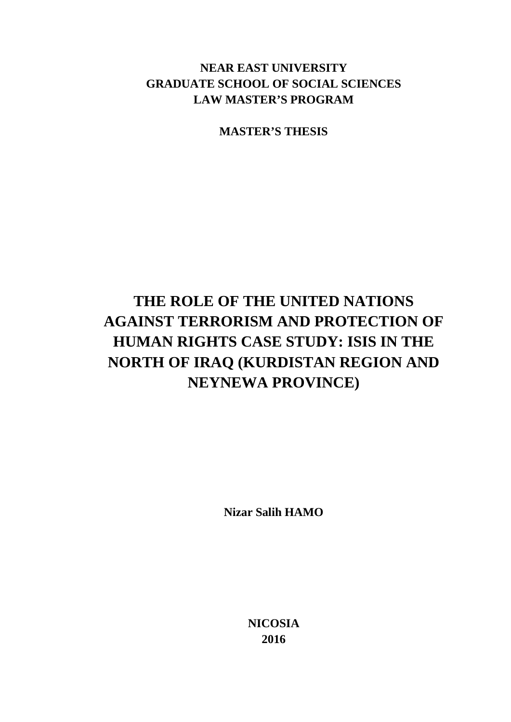# **NEAR EAST UNIVERSITY GRADUATE SCHOOL OF SOCIAL SCIENCES LAW MASTER'S PROGRAM**

**MASTER'S THESIS**

# **THE ROLE OF THE UNITED NATIONS AGAINST TERRORISM AND PROTECTION OF HUMAN RIGHTS CASE STUDY: ISIS IN THE NORTH OF IRAQ (KURDISTAN REGION AND NEYNEWA PROVINCE)**

**Nizar Salih HAMO**

**NICOSIA 2016**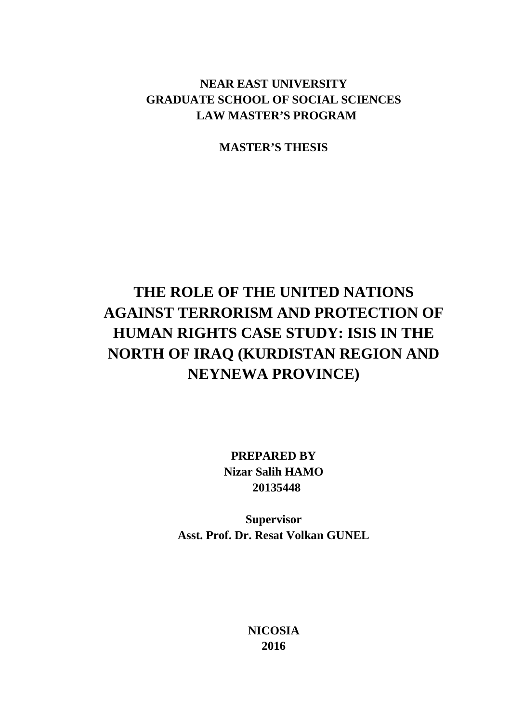# **NEAR EAST UNIVERSITY GRADUATE SCHOOL OF SOCIAL SCIENCES LAW MASTER'S PROGRAM**

**MASTER'S THESIS**

# **THE ROLE OF THE UNITED NATIONS AGAINST TERRORISM AND PROTECTION OF HUMAN RIGHTS CASE STUDY: ISIS IN THE NORTH OF IRAQ (KURDISTAN REGION AND NEYNEWA PROVINCE)**

**PREPARED BY Nizar Salih HAMO 20135448**

**Supervisor Asst. Prof. Dr. Resat Volkan GUNEL**

> **NICOSIA 2016**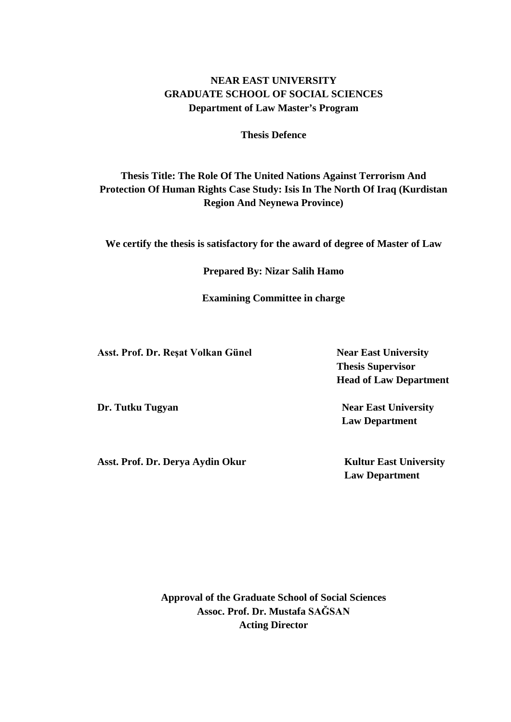# **NEAR EAST UNIVERSITY GRADUATE SCHOOL OF SOCIAL SCIENCES Department of Law Master's Program**

**Thesis Defence**

# **Thesis Title: The Role Of The United Nations Against Terrorism And Protection Of Human Rights Case Study: Isis In The North Of Iraq (Kurdistan Region And Neynewa Province)**

**We certify the thesis is satisfactory for the award of degree of Master of Law**

**Prepared By: Nizar Salih Hamo**

**Examining Committee in charge** 

**Asst. Prof. Dr. Reşat Volkan Günel Near East University**

Asst. Prof. Dr. Derya Aydin Okur **Kultur East University** 

 **Thesis Supervisor Head of Law Department**

**Dr. Tutku Tugyan Near East University Law Department** 

 **Law Department**

**Approval of the Graduate School of Social Sciences Assoc. Prof. Dr. Mustafa SAĞSAN Acting Director**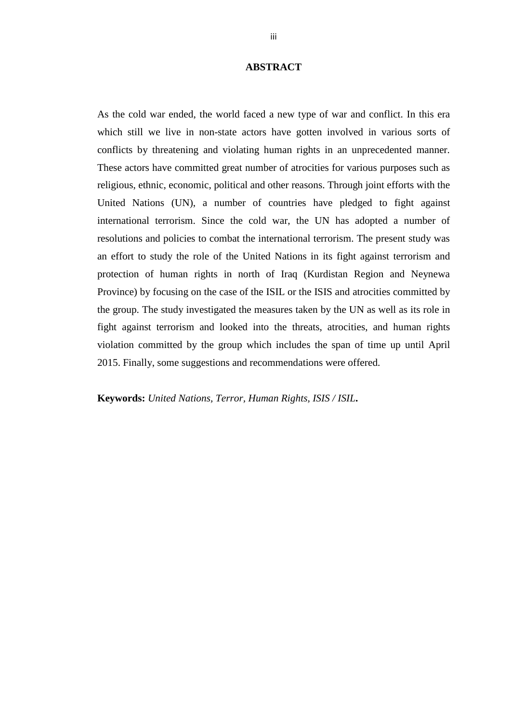# **ABSTRACT**

<span id="page-3-0"></span>As the cold war ended, the world faced a new type of war and conflict. In this era which still we live in non-state actors have gotten involved in various sorts of conflicts by threatening and violating human rights in an unprecedented manner. These actors have committed great number of atrocities for various purposes such as religious, ethnic, economic, political and other reasons. Through joint efforts with the United Nations (UN), a number of countries have pledged to fight against international terrorism. Since the cold war, the UN has adopted a number of resolutions and policies to combat the international terrorism. The present study was an effort to study the role of the United Nations in its fight against terrorism and protection of human rights in north of Iraq (Kurdistan Region and Neynewa Province) by focusing on the case of the ISIL or the ISIS and atrocities committed by the group. The study investigated the measures taken by the UN as well as its role in fight against terrorism and looked into the threats, atrocities, and human rights violation committed by the group which includes the span of time up until April 2015. Finally, some suggestions and recommendations were offered.

**Keywords:** *United Nations, Terror, Human Rights, ISIS / ISIL***.**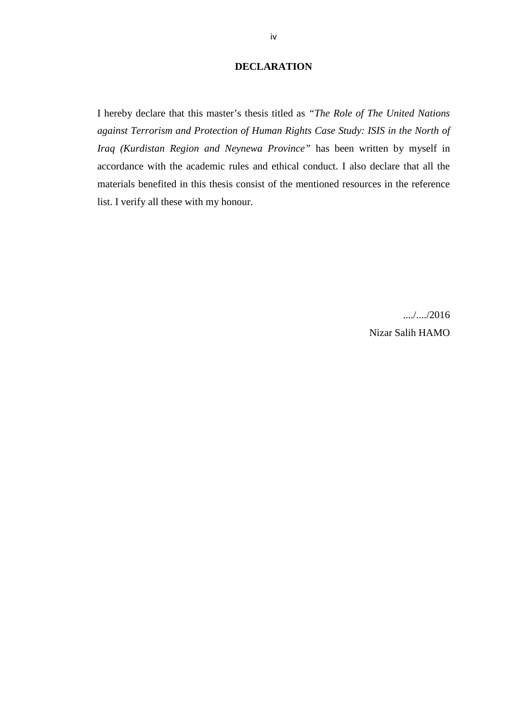# **DECLARATION**

<span id="page-4-0"></span>I hereby declare that this master's thesis titled as *"The Role of The United Nations against Terrorism and Protection of Human Rights Case Study: ISIS in the North of Iraq (Kurdistan Region and Neynewa Province"* has been written by myself in accordance with the academic rules and ethical conduct. I also declare that all the materials benefited in this thesis consist of the mentioned resources in the reference list. I verify all these with my honour.

> .....<sup>1</sup>/2016 Nizar Salih HAMO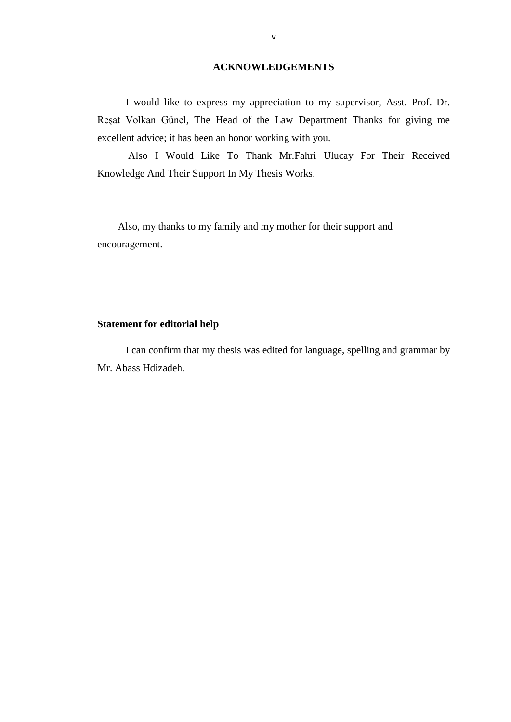## **ACKNOWLEDGEMENTS**

<span id="page-5-0"></span> I would like to express my appreciation to my supervisor, Asst. Prof. Dr. Reşat Volkan Günel, The Head of the Law Department Thanks for giving me excellent advice; it has been an honor working with you.

 Also I Would Like To Thank Mr.Fahri Ulucay For Their Received Knowledge And Their Support In My Thesis Works.

 Also, my thanks to my family and my mother for their support and encouragement.

# **Statement for editorial help**

 I can confirm that my thesis was edited for language, spelling and grammar by Mr. Abass Hdizadeh.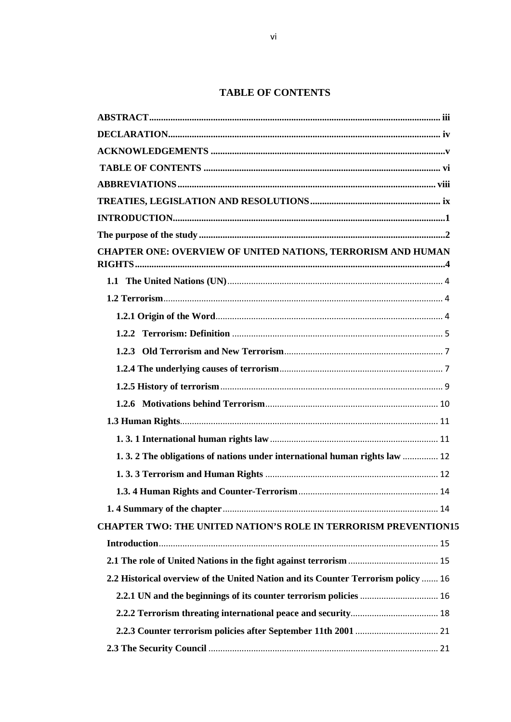# **TABLE OF CONTENTS**

<span id="page-6-0"></span>

| CHAPTER ONE: OVERVIEW OF UNITED NATIONS, TERRORISM AND HUMAN                      |  |
|-----------------------------------------------------------------------------------|--|
|                                                                                   |  |
|                                                                                   |  |
|                                                                                   |  |
|                                                                                   |  |
|                                                                                   |  |
|                                                                                   |  |
|                                                                                   |  |
|                                                                                   |  |
|                                                                                   |  |
|                                                                                   |  |
| 1.3.2 The obligations of nations under international human rights law  12         |  |
|                                                                                   |  |
|                                                                                   |  |
|                                                                                   |  |
| <b>CHAPTER TWO: THE UNITED NATION'S ROLE IN TERRORISM PREVENTION15</b>            |  |
|                                                                                   |  |
|                                                                                   |  |
| 2.2 Historical overview of the United Nation and its Counter Terrorism policy  16 |  |
|                                                                                   |  |
|                                                                                   |  |
|                                                                                   |  |
|                                                                                   |  |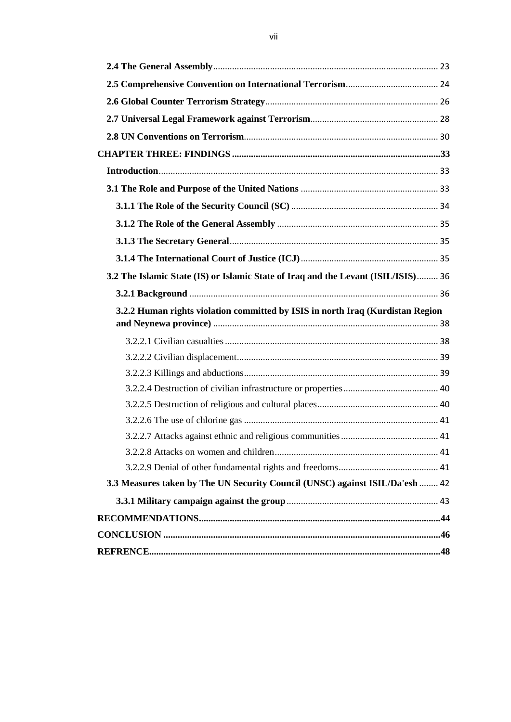| 3.2 The Islamic State (IS) or Islamic State of Iraq and the Levant (ISIL/ISIS) 36 |  |
|-----------------------------------------------------------------------------------|--|
|                                                                                   |  |
| 3.2.2 Human rights violation committed by ISIS in north Iraq (Kurdistan Region    |  |
|                                                                                   |  |
|                                                                                   |  |
|                                                                                   |  |
|                                                                                   |  |
|                                                                                   |  |
|                                                                                   |  |
|                                                                                   |  |
|                                                                                   |  |
|                                                                                   |  |
|                                                                                   |  |
| 3.3 Measures taken by The UN Security Council (UNSC) against ISIL/Da'esh  42      |  |
|                                                                                   |  |
|                                                                                   |  |
|                                                                                   |  |
|                                                                                   |  |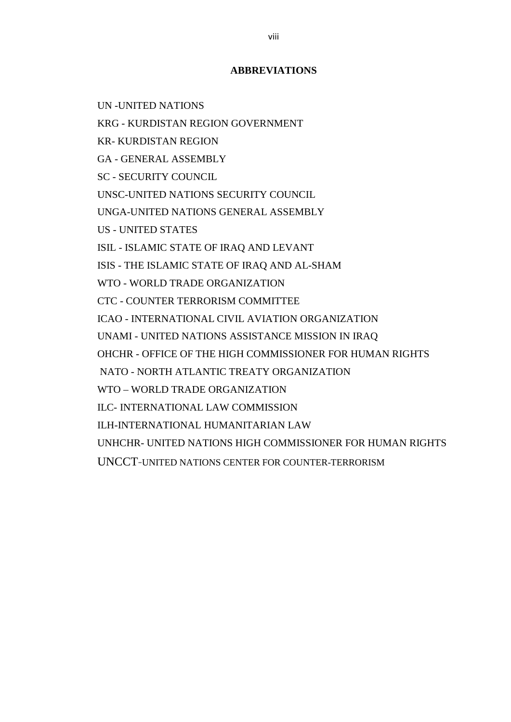# **ABBREVIATIONS**

<span id="page-8-0"></span>UN -UNITED NATIONS

KRG - KURDISTAN REGION GOVERNMENT

KR- KURDISTAN REGION

GA - GENERAL ASSEMBLY

SC - SECURITY COUNCIL

UNSC-UNITED NATIONS SECURITY COUNCIL

UNGA-UNITED NATIONS GENERAL ASSEMBLY

US - UNITED STATES

ISIL - ISLAMIC STATE OF IRAQ AND LEVANT

ISIS - THE ISLAMIC STATE OF IRAQ AND AL-SHAM

WTO - WORLD TRADE ORGANIZATION

CTC - COUNTER TERRORISM COMMITTEE

ICAO - INTERNATIONAL CIVIL AVIATION ORGANIZATION

UNAMI - UNITED NATIONS ASSISTANCE MISSION IN IRAQ

OHCHR - OFFICE OF THE HIGH COMMISSIONER FOR HUMAN RIGHTS

NATO - NORTH ATLANTIC TREATY ORGANIZATION

WTO – WORLD TRADE ORGANIZATION

ILC- INTERNATIONAL LAW COMMISSION

ILH-INTERNATIONAL HUMANITARIAN LAW

UNHCHR- UNITED NATIONS HIGH COMMISSIONER FOR HUMAN RIGHTS

UNCCT[-UNITED NATIONS CENTER FOR COUNTER-TERRORISM](https://www.google.co.uk/url?sa=t&rct=j&q=&esrc=s&source=web&cd=1&cad=rja&uact=8&ved=0ahUKEwjGmrfm3dfKAhVI3CwKHbu1DDwQFggcMAA&url=http%3A%2F%2Fpilac.law.harvard.edu%2Funited-nations-efforts%2F%2Funited-nations-center-for-counter-terrorism-uncct&usg=AFQjCNEFSSSbpsJk-rx8g74yvIhSm5Pxpw&bvm=bv.113034660,d.bGg)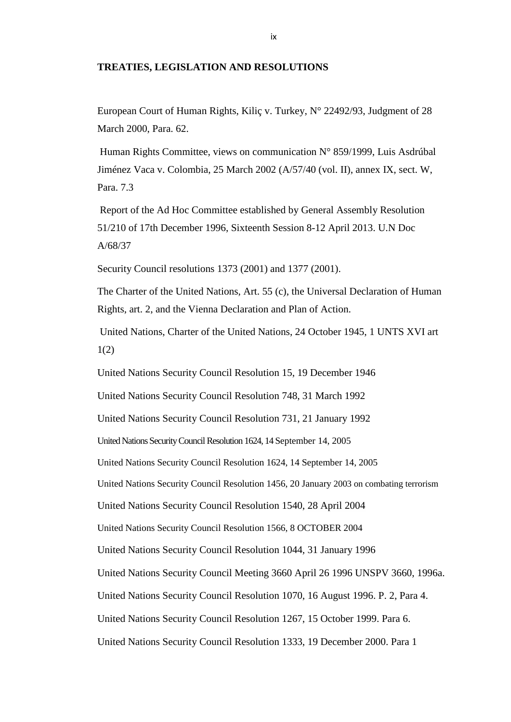#### <span id="page-9-0"></span>**TREATIES, LEGISLATION AND RESOLUTIONS**

European Court of Human Rights, Kiliç v. Turkey, N° 22492/93, Judgment of 28 March 2000, Para. 62.

Human Rights Committee, views on communication N° 859/1999, Luis Asdrúbal Jiménez Vaca v. Colombia, 25 March 2002 (A/57/40 (vol. II), annex IX, sect. W, Para. 7.3

Report of the Ad Hoc Committee established by General Assembly Resolution 51/210 of 17th December 1996, Sixteenth Session 8-12 April 2013. U.N Doc A/68/37

Security Council resolutions 1373 (2001) and 1377 (2001).

The Charter of the United Nations, Art. 55 (c), the Universal Declaration of Human Rights, art. 2, and the Vienna Declaration and Plan of Action.

United Nations, Charter of the United Nations, 24 October 1945, 1 UNTS XVI art 1(2)

United Nations Security Council Resolution 15, 19 December 1946

United Nations Security Council Resolution 748, 31 March 1992

United Nations Security Council Resolution 731, 21 January 1992

United Nations Security Council Resolution 1624, 14 September 14, 2005

United Nations Security Council Resolution 1624, 14 September 14, 2005

United Nations Security Council Resolution 1456, 20 January 2003 on combating terrorism

United Nations Security Council Resolution 1540, 28 April 2004

United Nations Security Council Resolution 1566, 8 OCTOBER 2004

United Nations Security Council Resolution 1044, 31 January 1996

United Nations Security Council Meeting 3660 April 26 1996 UNSPV 3660, 1996a.

United Nations Security Council Resolution 1070, 16 August 1996. P. 2, Para 4.

United Nations Security Council Resolution 1267, 15 October 1999. Para 6.

United Nations Security Council Resolution 1333, 19 December 2000. Para 1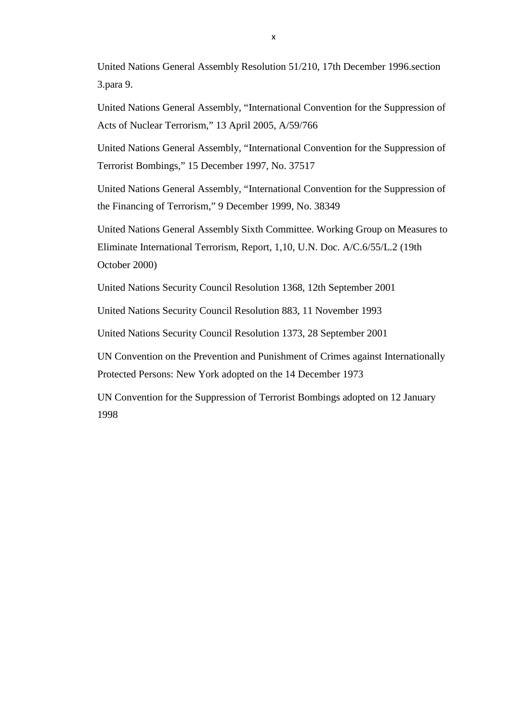United Nations General Assembly Resolution 51/210, 17th December 1996.section 3.para 9.

United Nations General Assembly, "International Convention for the Suppression of Acts of Nuclear Terrorism," 13 April 2005, A/59/766

United Nations General Assembly, "International Convention for the Suppression of Terrorist Bombings," 15 December 1997, No. 37517

United Nations General Assembly, "International Convention for the Suppression of the Financing of Terrorism," 9 December 1999, No. 38349

United Nations General Assembly Sixth Committee. Working Group on Measures to Eliminate International Terrorism, Report, 1,10, U.N. Doc. A/C.6/55/L.2 (19th October 2000)

United Nations Security Council Resolution 1368, 12th September 2001

United Nations Security Council Resolution 883, 11 November 1993

United Nations Security Council Resolution 1373, 28 September 2001

UN Convention on the Prevention and Punishment of Crimes against Internationally Protected Persons: New York adopted on the 14 December 1973

UN Convention for the Suppression of Terrorist Bombings adopted on 12 January 1998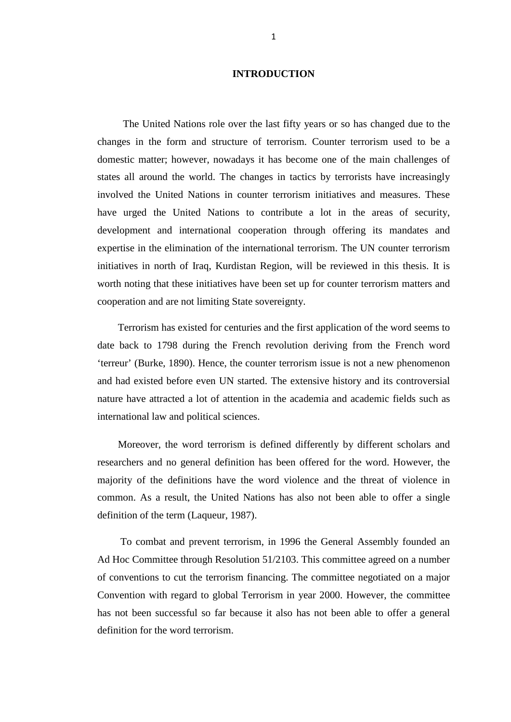# **INTRODUCTION**

<span id="page-11-0"></span> The United Nations role over the last fifty years or so has changed due to the changes in the form and structure of terrorism. Counter terrorism used to be a domestic matter; however, nowadays it has become one of the main challenges of states all around the world. The changes in tactics by terrorists have increasingly involved the United Nations in counter terrorism initiatives and measures. These have urged the United Nations to contribute a lot in the areas of security, development and international cooperation through offering its mandates and expertise in the elimination of the international terrorism. The UN counter terrorism initiatives in north of Iraq, Kurdistan Region, will be reviewed in this thesis. It is worth noting that these initiatives have been set up for counter terrorism matters and cooperation and are not limiting State sovereignty.

 Terrorism has existed for centuries and the first application of the word seems to date back to 1798 during the French revolution deriving from the French word 'terreur' (Burke, 1890). Hence, the counter terrorism issue is not a new phenomenon and had existed before even UN started. The extensive history and its controversial nature have attracted a lot of attention in the academia and academic fields such as international law and political sciences.

 Moreover, the word terrorism is defined differently by different scholars and researchers and no general definition has been offered for the word. However, the majority of the definitions have the word violence and the threat of violence in common. As a result, the United Nations has also not been able to offer a single definition of the term (Laqueur, 1987).

 To combat and prevent terrorism, in 1996 the General Assembly founded an Ad Hoc Committee through Resolution 51/2103. This committee agreed on a number of conventions to cut the terrorism financing. The committee negotiated on a major Convention with regard to global Terrorism in year 2000. However, the committee has not been successful so far because it also has not been able to offer a general definition for the word terrorism.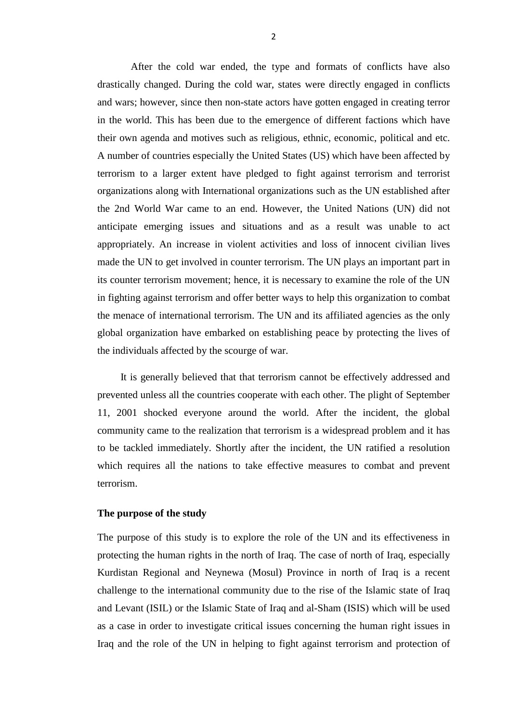After the cold war ended, the type and formats of conflicts have also drastically changed. During the cold war, states were directly engaged in conflicts and wars; however, since then non-state actors have gotten engaged in creating terror in the world. This has been due to the emergence of different factions which have their own agenda and motives such as religious, ethnic, economic, political and etc. A number of countries especially the United States (US) which have been affected by terrorism to a larger extent have pledged to fight against terrorism and terrorist organizations along with International organizations such as the UN established after the 2nd World War came to an end. However, the United Nations (UN) did not anticipate emerging issues and situations and as a result was unable to act appropriately. An increase in violent activities and loss of innocent civilian lives made the UN to get involved in counter terrorism. The UN plays an important part in its counter terrorism movement; hence, it is necessary to examine the role of the UN in fighting against terrorism and offer better ways to help this organization to combat the menace of international terrorism. The UN and its affiliated agencies as the only global organization have embarked on establishing peace by protecting the lives of the individuals affected by the scourge of war.

 It is generally believed that that terrorism cannot be effectively addressed and prevented unless all the countries cooperate with each other. The plight of September 11, 2001 shocked everyone around the world. After the incident, the global community came to the realization that terrorism is a widespread problem and it has to be tackled immediately. Shortly after the incident, the UN ratified a resolution which requires all the nations to take effective measures to combat and prevent terrorism.

# <span id="page-12-0"></span>**The purpose of the study**

The purpose of this study is to explore the role of the UN and its effectiveness in protecting the human rights in the north of Iraq. The case of north of Iraq, especially Kurdistan Regional and Neynewa (Mosul) Province in north of Iraq is a recent challenge to the international community due to the rise of the Islamic state of Iraq and Levant (ISIL) or the Islamic State of Iraq and al-Sham (ISIS) which will be used as a case in order to investigate critical issues concerning the human right issues in Iraq and the role of the UN in helping to fight against terrorism and protection of

2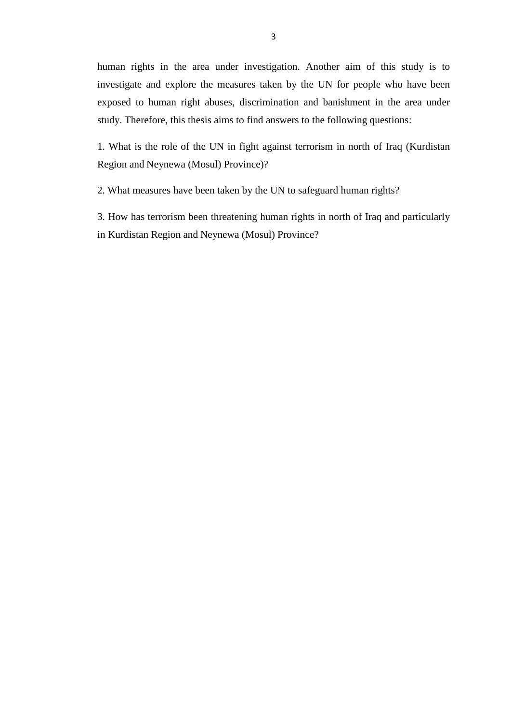human rights in the area under investigation. Another aim of this study is to investigate and explore the measures taken by the UN for people who have been exposed to human right abuses, discrimination and banishment in the area under study. Therefore, this thesis aims to find answers to the following questions:

1. What is the role of the UN in fight against terrorism in north of Iraq (Kurdistan Region and Neynewa (Mosul) Province)?

2. What measures have been taken by the UN to safeguard human rights?

3. How has terrorism been threatening human rights in north of Iraq and particularly in Kurdistan Region and Neynewa (Mosul) Province?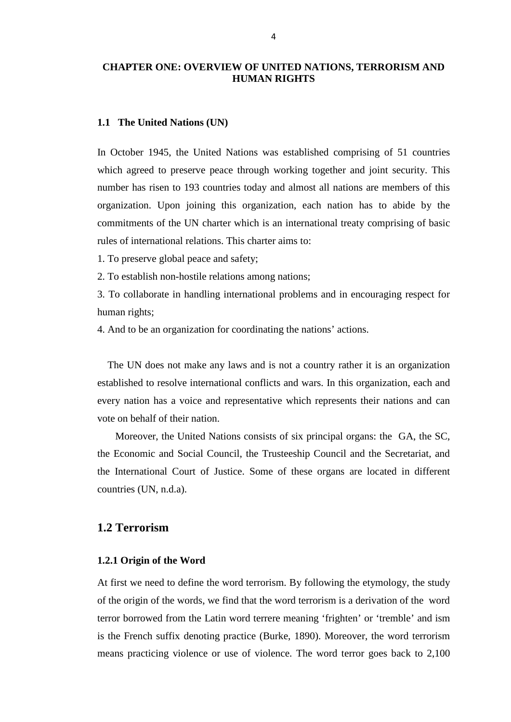# <span id="page-14-0"></span>**CHAPTER ONE: OVERVIEW OF UNITED NATIONS, TERRORISM AND HUMAN RIGHTS**

#### <span id="page-14-1"></span>**1.1 The United Nations (UN)**

In October 1945, the United Nations was established comprising of 51 countries which agreed to preserve peace through working together and joint security. This number has risen to 193 countries today and almost all nations are members of this organization. Upon joining this organization, each nation has to abide by the commitments of the UN charter which is an international treaty comprising of basic rules of international relations. This charter aims to:

1. To preserve global peace and safety;

2. To establish non-hostile relations among nations;

3. To collaborate in handling international problems and in encouraging respect for human rights;

4. And to be an organization for coordinating the nations' actions.

 The UN does not make any laws and is not a country rather it is an organization established to resolve international conflicts and wars. In this organization, each and every nation has a voice and representative which represents their nations and can vote on behalf of their nation.

 Moreover, the United Nations consists of six principal organs: the GA, the SC, the Economic and Social Council, the Trusteeship Council and the Secretariat, and the International Court of Justice. Some of these organs are located in different countries (UN, n.d.a).

# <span id="page-14-2"></span>**1.2 Terrorism**

## <span id="page-14-3"></span>**1.2.1 Origin of the Word**

At first we need to define the word terrorism. By following the etymology, the study of the origin of the words, we find that the word terrorism is a derivation of the word terror borrowed from the Latin word terrere meaning 'frighten' or 'tremble' and ism is the French suffix denoting practice (Burke, 1890). Moreover, the word terrorism means practicing violence or use of violence. The word terror goes back to 2,100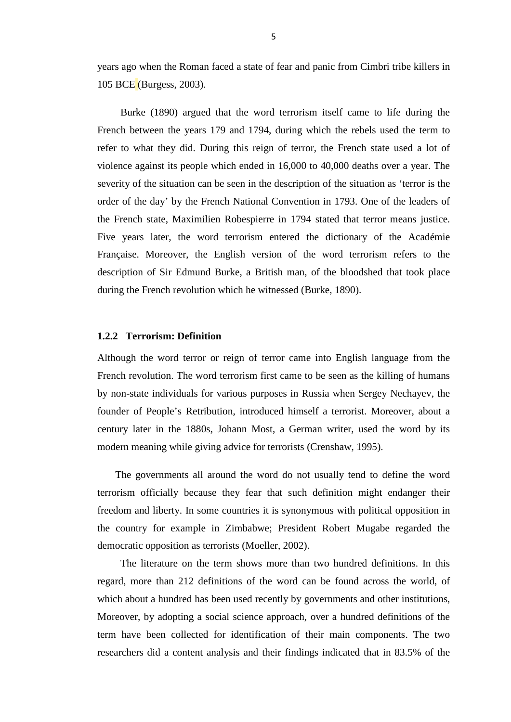years ago when the Roman faced a state of fear and panic from Cimbri tribe killers in 105 BCE (Burgess, 2003).

 Burke (1890) argued that the word terrorism itself came to life during the French between the years 179 and 1794, during which the rebels used the term to refer to what they did. During this reign of terror, the French state used a lot of violence against its people which ended in 16,000 to 40,000 deaths over a year. The severity of the situation can be seen in the description of the situation as 'terror is the order of the day' by the French National Convention in 1793. One of the leaders of the French state, Maximilien Robespierre in 1794 stated that terror means justice. Five years later, the word terrorism entered the dictionary of the Académie Française. Moreover, the English version of the word terrorism refers to the description of Sir Edmund Burke, a British man, of the bloodshed that took place during the French revolution which he witnessed (Burke, 1890).

# <span id="page-15-0"></span>**1.2.2 Terrorism: Definition**

Although the word terror or reign of terror came into English language from the French revolution. The word terrorism first came to be seen as the killing of humans by non-state individuals for various purposes in Russia when Sergey Nechayev, the founder of People's Retribution, introduced himself a terrorist. Moreover, about a century later in the 1880s, Johann Most, a German writer, used the word by its modern meaning while giving advice for terrorists (Crenshaw, 1995).

 The governments all around the word do not usually tend to define the word terrorism officially because they fear that such definition might endanger their freedom and liberty. In some countries it is synonymous with political opposition in the country for example in Zimbabwe; President Robert Mugabe regarded the democratic opposition as terrorists (Moeller, 2002).

 The literature on the term shows more than two hundred definitions. In this regard, more than 212 definitions of the word can be found across the world, of which about a hundred has been used recently by governments and other institutions, Moreover, by adopting a social science approach, over a hundred definitions of the term have been collected for identification of their main components. The two researchers did a content analysis and their findings indicated that in 83.5% of the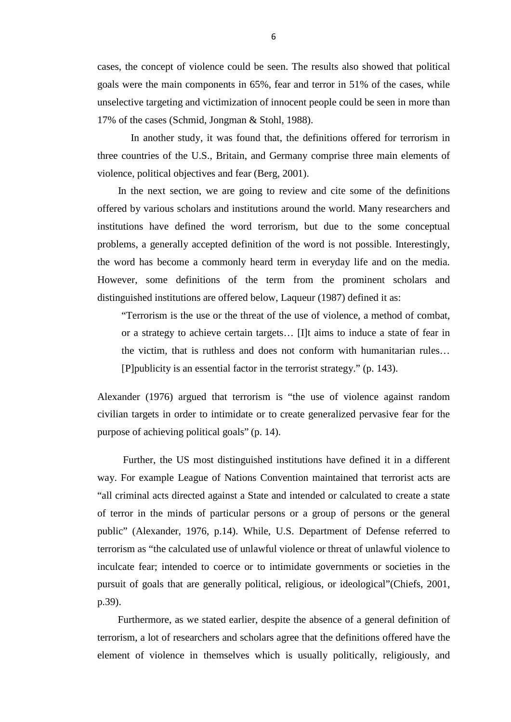cases, the concept of violence could be seen. The results also showed that political goals were the main components in 65%, fear and terror in 51% of the cases, while unselective targeting and victimization of innocent people could be seen in more than 17% of the cases (Schmid, Jongman & Stohl, 1988).

 In another study, it was found that, the definitions offered for terrorism in three countries of the U.S., Britain, and Germany comprise three main elements of violence, political objectives and fear (Berg, 2001).

 In the next section, we are going to review and cite some of the definitions offered by various scholars and institutions around the world. Many researchers and institutions have defined the word terrorism, but due to the some conceptual problems, a generally accepted definition of the word is not possible. Interestingly, the word has become a commonly heard term in everyday life and on the media. However, some definitions of the term from the prominent scholars and distinguished institutions are offered below, Laqueur (1987) defined it as:

"Terrorism is the use or the threat of the use of violence, a method of combat, or a strategy to achieve certain targets… [I]t aims to induce a state of fear in the victim, that is ruthless and does not conform with humanitarian rules… [P]publicity is an essential factor in the terrorist strategy." (p. 143).

Alexander (1976) argued that terrorism is "the use of violence against random civilian targets in order to intimidate or to create generalized pervasive fear for the purpose of achieving political goals" (p. 14).

 Further, the US most distinguished institutions have defined it in a different way. For example League of Nations Convention maintained that terrorist acts are "all criminal acts directed against a State and intended or calculated to create a state of terror in the minds of particular persons or a group of persons or the general public" (Alexander, 1976, p.14). While, U.S. Department of Defense referred to terrorism as "the calculated use of unlawful violence or threat of unlawful violence to inculcate fear; intended to coerce or to intimidate governments or societies in the pursuit of goals that are generally political, religious, or ideological"(Chiefs, 2001, p.39).

 Furthermore, as we stated earlier, despite the absence of a general definition of terrorism, a lot of researchers and scholars agree that the definitions offered have the element of violence in themselves which is usually politically, religiously, and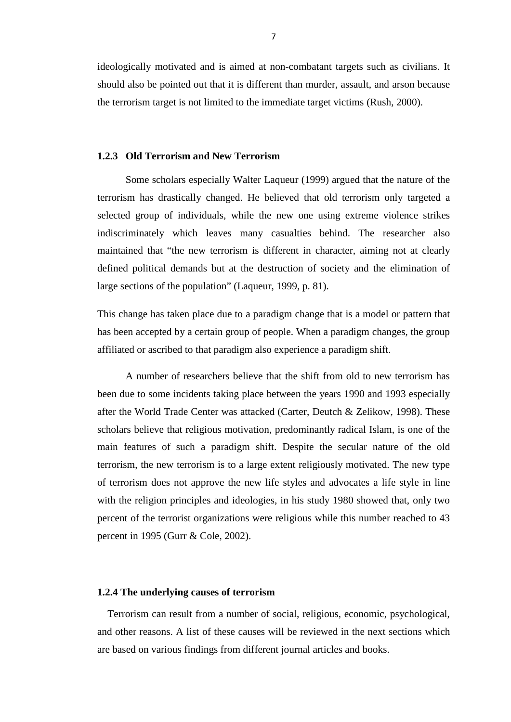ideologically motivated and is aimed at non-combatant targets such as civilians. It should also be pointed out that it is different than murder, assault, and arson because the terrorism target is not limited to the immediate target victims (Rush, 2000).

#### <span id="page-17-0"></span>**1.2.3 Old Terrorism and New Terrorism**

 Some scholars especially Walter Laqueur (1999) argued that the nature of the terrorism has drastically changed. He believed that old terrorism only targeted a selected group of individuals, while the new one using extreme violence strikes indiscriminately which leaves many casualties behind. The researcher also maintained that "the new terrorism is different in character, aiming not at clearly defined political demands but at the destruction of society and the elimination of large sections of the population" (Laqueur, 1999, p. 81).

This change has taken place due to a paradigm change that is a model or pattern that has been accepted by a certain group of people. When a paradigm changes, the group affiliated or ascribed to that paradigm also experience a paradigm shift.

 A number of researchers believe that the shift from old to new terrorism has been due to some incidents taking place between the years 1990 and 1993 especially after the World Trade Center was attacked (Carter, Deutch & Zelikow, 1998). These scholars believe that religious motivation, predominantly radical Islam, is one of the main features of such a paradigm shift. Despite the secular nature of the old terrorism, the new terrorism is to a large extent religiously motivated. The new type of terrorism does not approve the new life styles and advocates a life style in line with the religion principles and ideologies, in his study 1980 showed that, only two percent of the terrorist organizations were religious while this number reached to 43 percent in 1995 (Gurr & Cole, 2002).

#### <span id="page-17-1"></span>**1.2.4 The underlying causes of terrorism**

 Terrorism can result from a number of social, religious, economic, psychological, and other reasons. A list of these causes will be reviewed in the next sections which are based on various findings from different journal articles and books.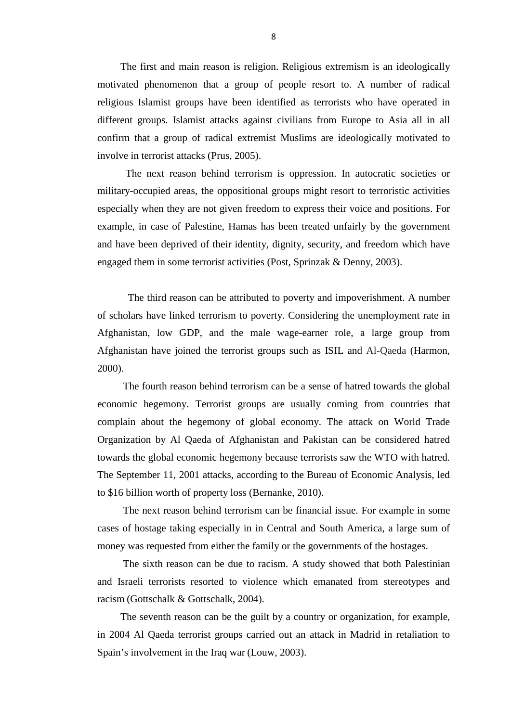The first and main reason is religion. Religious extremism is an ideologically motivated phenomenon that a group of people resort to. A number of radical religious Islamist groups have been identified as terrorists who have operated in different groups. Islamist attacks against civilians from Europe to Asia all in all confirm that a group of radical extremist Muslims are ideologically motivated to involve in terrorist attacks (Prus, 2005).

 The next reason behind terrorism is oppression. In autocratic societies or military-occupied areas, the oppositional groups might resort to terroristic activities especially when they are not given freedom to express their voice and positions. For example, in case of Palestine, Hamas has been treated unfairly by the government and have been deprived of their identity, dignity, security, and freedom which have engaged them in some terrorist activities (Post, Sprinzak & Denny, 2003).

 The third reason can be attributed to poverty and impoverishment. A number of scholars have linked terrorism to poverty. Considering the unemployment rate in Afghanistan, low GDP, and the male wage-earner role, a large group from Afghanistan have joined the terrorist groups such as ISIL and Al-Qaeda (Harmon, 2000).

 The fourth reason behind terrorism can be a sense of hatred towards the global economic hegemony. Terrorist groups are usually coming from countries that complain about the hegemony of global economy. The attack on World Trade Organization by Al Qaeda of Afghanistan and Pakistan can be considered hatred towards the global economic hegemony because terrorists saw the WTO with hatred. The September 11, 2001 attacks, according to the Bureau of Economic Analysis, led to \$16 billion worth of property loss (Bernanke, 2010).

 The next reason behind terrorism can be financial issue. For example in some cases of hostage taking especially in in Central and South America, a large sum of money was requested from either the family or the governments of the hostages.

 The sixth reason can be due to racism. A study showed that both Palestinian and Israeli terrorists resorted to violence which emanated from stereotypes and racism (Gottschalk & Gottschalk, 2004).

 The seventh reason can be the guilt by a country or organization, for example, in 2004 Al Qaeda terrorist groups carried out an attack in Madrid in retaliation to Spain's involvement in the Iraq war (Louw, 2003).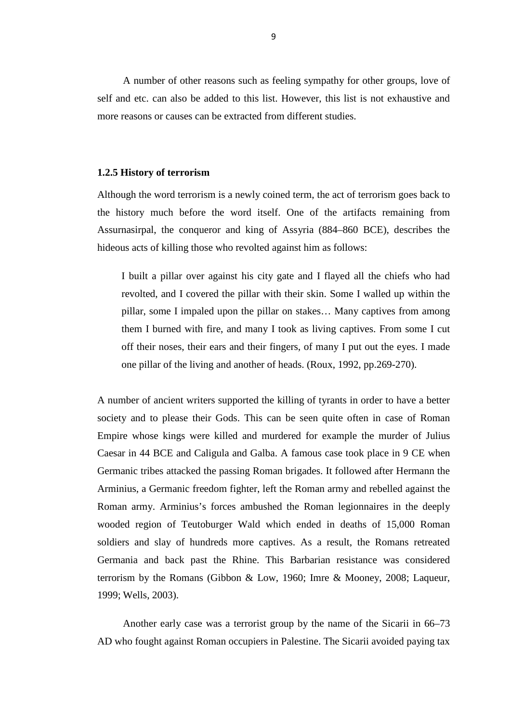A number of other reasons such as feeling sympathy for other groups, love of self and etc. can also be added to this list. However, this list is not exhaustive and more reasons or causes can be extracted from different studies.

#### <span id="page-19-0"></span>**1.2.5 History of terrorism**

Although the word terrorism is a newly coined term, the act of terrorism goes back to the history much before the word itself. One of the artifacts remaining from Assurnasirpal, the conqueror and king of Assyria (884–860 BCE), describes the hideous acts of killing those who revolted against him as follows:

I built a pillar over against his city gate and I flayed all the chiefs who had revolted, and I covered the pillar with their skin. Some I walled up within the pillar, some I impaled upon the pillar on stakes… Many captives from among them I burned with fire, and many I took as living captives. From some I cut off their noses, their ears and their fingers, of many I put out the eyes. I made one pillar of the living and another of heads. (Roux, 1992, pp.269-270).

A number of ancient writers supported the killing of tyrants in order to have a better society and to please their Gods. This can be seen quite often in case of Roman Empire whose kings were killed and murdered for example the murder of Julius Caesar in 44 BCE and Caligula and Galba. A famous case took place in 9 CE when Germanic tribes attacked the passing Roman brigades. It followed after Hermann the Arminius, a Germanic freedom fighter, left the Roman army and rebelled against the Roman army. Arminius's forces ambushed the Roman legionnaires in the deeply wooded region of Teutoburger Wald which ended in deaths of 15,000 Roman soldiers and slay of hundreds more captives. As a result, the Romans retreated Germania and back past the Rhine. This Barbarian resistance was considered terrorism by the Romans (Gibbon & Low, 1960; Imre & Mooney, 2008; Laqueur, 1999; Wells, 2003).

 Another early case was a terrorist group by the name of the Sicarii in 66–73 AD who fought against Roman occupiers in Palestine. The Sicarii avoided paying tax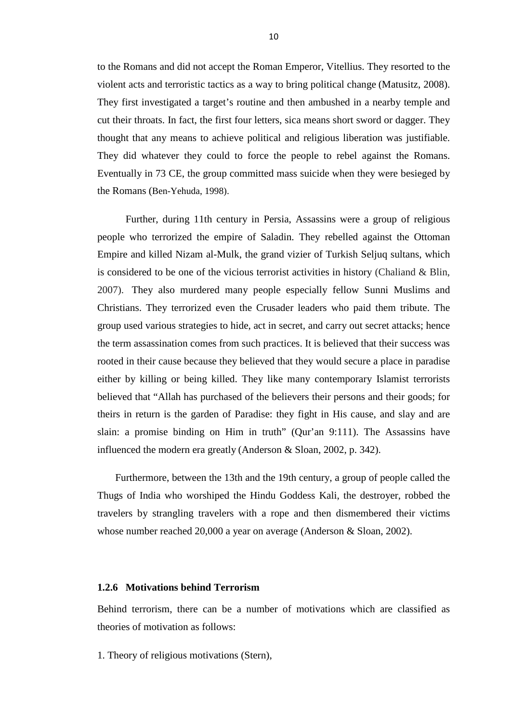to the Romans and did not accept the Roman Emperor, Vitellius. They resorted to the violent acts and terroristic tactics as a way to bring political change (Matusitz, 2008). They first investigated a target's routine and then ambushed in a nearby temple and cut their throats. In fact, the first four letters, sica means short sword or dagger. They thought that any means to achieve political and religious liberation was justifiable. They did whatever they could to force the people to rebel against the Romans. Eventually in 73 CE, the group committed mass suicide when they were besieged by the Romans (Ben-Yehuda, 1998).

 Further, during 11th century in Persia, Assassins were a group of religious people who terrorized the empire of Saladin. They rebelled against the Ottoman Empire and killed Nizam al-Mulk, the grand vizier of Turkish Seljuq sultans, which is considered to be one of the vicious terrorist activities in history (Chaliand & Blin, 2007). They also murdered many people especially fellow Sunni Muslims and Christians. They terrorized even the Crusader leaders who paid them tribute. The group used various strategies to hide, act in secret, and carry out secret attacks; hence the term assassination comes from such practices. It is believed that their success was rooted in their cause because they believed that they would secure a place in paradise either by killing or being killed. They like many contemporary Islamist terrorists believed that "Allah has purchased of the believers their persons and their goods; for theirs in return is the garden of Paradise: they fight in His cause, and slay and are slain: a promise binding on Him in truth" (Qur'an 9:111). The Assassins have influenced the modern era greatly (Anderson & Sloan, 2002, p. 342).

 Furthermore, between the 13th and the 19th century, a group of people called the Thugs of India who worshiped the Hindu Goddess Kali, the destroyer, robbed the travelers by strangling travelers with a rope and then dismembered their victims whose number reached 20,000 a year on average (Anderson & Sloan, 2002).

#### <span id="page-20-0"></span>**1.2.6 Motivations behind Terrorism**

Behind terrorism, there can be a number of motivations which are classified as theories of motivation as follows:

1. Theory of religious motivations (Stern),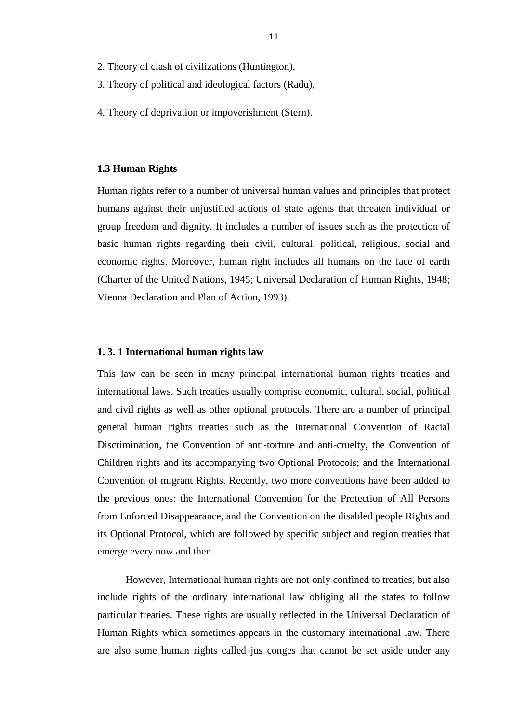- 2. Theory of clash of civilizations (Huntington),
- 3. Theory of political and ideological factors (Radu),
- 4. Theory of deprivation or impoverishment (Stern).

#### <span id="page-21-0"></span>**1.3 Human Rights**

Human rights refer to a number of universal human values and principles that protect humans against their unjustified actions of state agents that threaten individual or group freedom and dignity. It includes a number of issues such as the protection of basic human rights regarding their civil, cultural, political, religious, social and economic rights. Moreover, human right includes all humans on the face of earth (Charter of the United Nations, 1945; Universal Declaration of Human Rights, 1948; Vienna Declaration and Plan of Action, 1993).

#### <span id="page-21-1"></span>**1. 3. 1 International human rights law**

This law can be seen in many principal international human rights treaties and international laws. Such treaties usually comprise economic, cultural, social, political and civil rights as well as other optional protocols. There are a number of principal general human rights treaties such as the International Convention of Racial Discrimination, the Convention of anti-torture and anti-cruelty, the Convention of Children rights and its accompanying two Optional Protocols; and the International Convention of migrant Rights. Recently, two more conventions have been added to the previous ones: the International Convention for the Protection of All Persons from Enforced Disappearance, and the Convention on the disabled people Rights and its Optional Protocol, which are followed by specific subject and region treaties that emerge every now and then.

 However, International human rights are not only confined to treaties, but also include rights of the ordinary international law obliging all the states to follow particular treaties. These rights are usually reflected in the Universal Declaration of Human Rights which sometimes appears in the customary international law. There are also some human rights called jus conges that cannot be set aside under any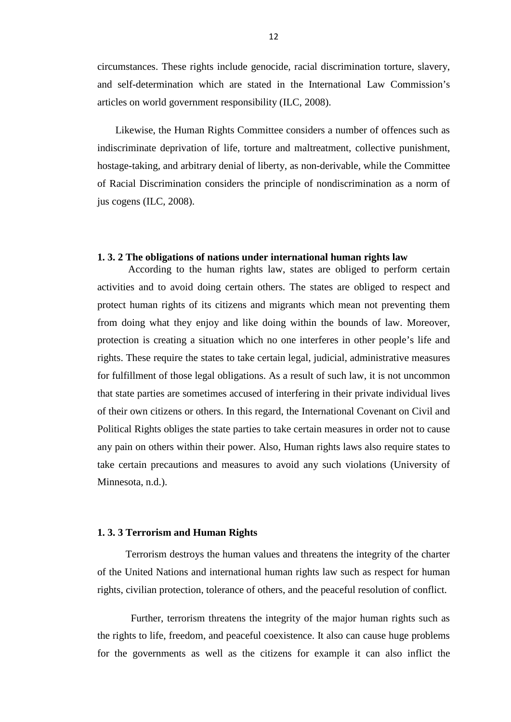circumstances. These rights include genocide, racial discrimination torture, slavery, and self-determination which are stated in the International Law Commission's articles on world government responsibility (ILC, 2008).

 Likewise, the Human Rights Committee considers a number of offences such as indiscriminate deprivation of life, torture and maltreatment, collective punishment, hostage-taking, and arbitrary denial of liberty, as non-derivable, while the Committee of Racial Discrimination considers the principle of nondiscrimination as a norm of jus cogens (ILC, 2008).

# <span id="page-22-0"></span>**1. 3. 2 The obligations of nations under international human rights law**

 According to the human rights law, states are obliged to perform certain activities and to avoid doing certain others. The states are obliged to respect and protect human rights of its citizens and migrants which mean not preventing them from doing what they enjoy and like doing within the bounds of law. Moreover, protection is creating a situation which no one interferes in other people's life and rights. These require the states to take certain legal, judicial, administrative measures for fulfillment of those legal obligations. As a result of such law, it is not uncommon that state parties are sometimes accused of interfering in their private individual lives of their own citizens or others. In this regard, the International Covenant on Civil and Political Rights obliges the state parties to take certain measures in order not to cause any pain on others within their power. Also, Human rights laws also require states to take certain precautions and measures to avoid any such violations (University of Minnesota, n.d.).

# <span id="page-22-1"></span>**1. 3. 3 Terrorism and Human Rights**

 Terrorism destroys the human values and threatens the integrity of the charter of the United Nations and international human rights law such as respect for human rights, civilian protection, tolerance of others, and the peaceful resolution of conflict.

 Further, terrorism threatens the integrity of the major human rights such as the rights to life, freedom, and peaceful coexistence. It also can cause huge problems for the governments as well as the citizens for example it can also inflict the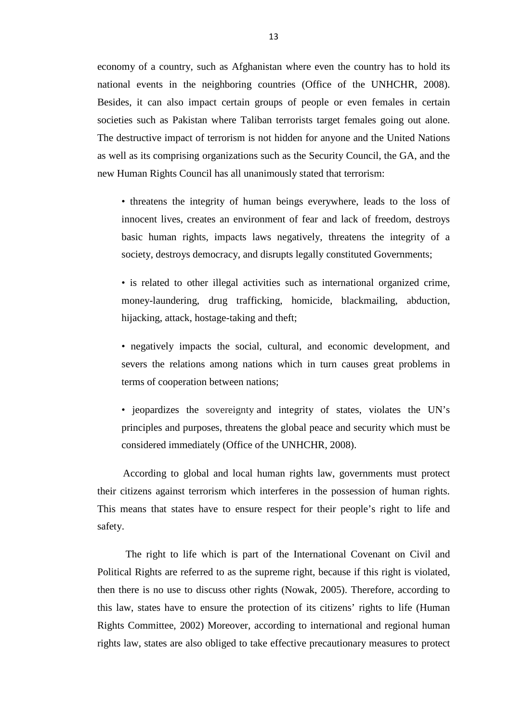economy of a country, such as Afghanistan where even the country has to hold its national events in the neighboring countries (Office of the UNHCHR, 2008). Besides, it can also impact certain groups of people or even females in certain societies such as Pakistan where Taliban terrorists target females going out alone. The destructive impact of terrorism is not hidden for anyone and the United Nations as well as its comprising organizations such as the Security Council, the GA, and the new Human Rights Council has all unanimously stated that terrorism:

• threatens the integrity of human beings everywhere, leads to the loss of innocent lives, creates an environment of fear and lack of freedom, destroys basic human rights, impacts laws negatively, threatens the integrity of a society, destroys democracy, and disrupts legally constituted Governments;

• is related to other illegal activities such as international organized crime, money-laundering, drug trafficking, homicide, blackmailing, abduction, hijacking, attack, hostage-taking and theft;

• negatively impacts the social, cultural, and economic development, and severs the relations among nations which in turn causes great problems in terms of cooperation between nations;

• jeopardizes the sovereignty and integrity of states, violates the UN's principles and purposes, threatens the global peace and security which must be considered immediately (Office of the UNHCHR, 2008).

 According to global and local human rights law, governments must protect their citizens against terrorism which interferes in the possession of human rights. This means that states have to ensure respect for their people's right to life and safety.

 The right to life which is part of the International Covenant on Civil and Political Rights are referred to as the supreme right, because if this right is violated, then there is no use to discuss other rights (Nowak, 2005). Therefore, according to this law, states have to ensure the protection of its citizens' rights to life (Human Rights Committee, 2002) Moreover, according to international and regional human rights law, states are also obliged to take effective precautionary measures to protect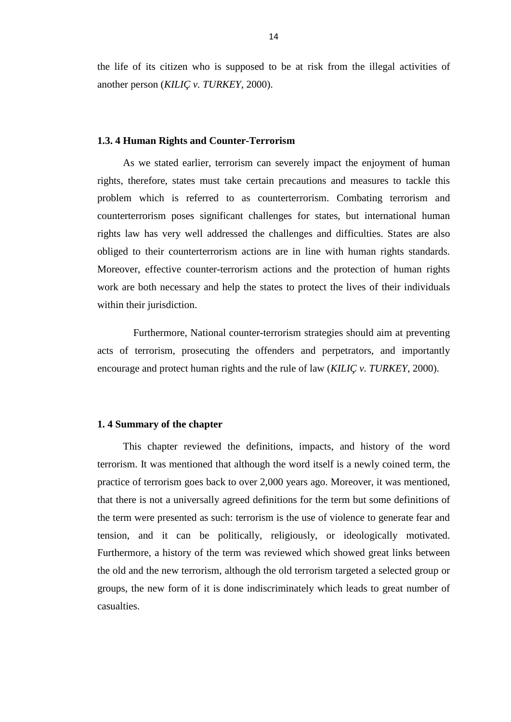the life of its citizen who is supposed to be at risk from the illegal activities of another person (*KILIÇ v. TURKEY*, 2000).

#### <span id="page-24-0"></span>**1.3. 4 Human Rights and Counter-Terrorism**

 As we stated earlier, terrorism can severely impact the enjoyment of human rights, therefore, states must take certain precautions and measures to tackle this problem which is referred to as counterterrorism. Combating terrorism and counterterrorism poses significant challenges for states, but international human rights law has very well addressed the challenges and difficulties. States are also obliged to their counterterrorism actions are in line with human rights standards. Moreover, effective counter-terrorism actions and the protection of human rights work are both necessary and help the states to protect the lives of their individuals within their jurisdiction.

 Furthermore, National counter-terrorism strategies should aim at preventing acts of terrorism, prosecuting the offenders and perpetrators, and importantly encourage and protect human rights and the rule of law (*KILIÇ v. TURKEY*, 2000).

#### <span id="page-24-1"></span>**1. 4 Summary of the chapter**

 This chapter reviewed the definitions, impacts, and history of the word terrorism. It was mentioned that although the word itself is a newly coined term, the practice of terrorism goes back to over 2,000 years ago. Moreover, it was mentioned, that there is not a universally agreed definitions for the term but some definitions of the term were presented as such: terrorism is the use of violence to generate fear and tension, and it can be politically, religiously, or ideologically motivated. Furthermore, a history of the term was reviewed which showed great links between the old and the new terrorism, although the old terrorism targeted a selected group or groups, the new form of it is done indiscriminately which leads to great number of casualties.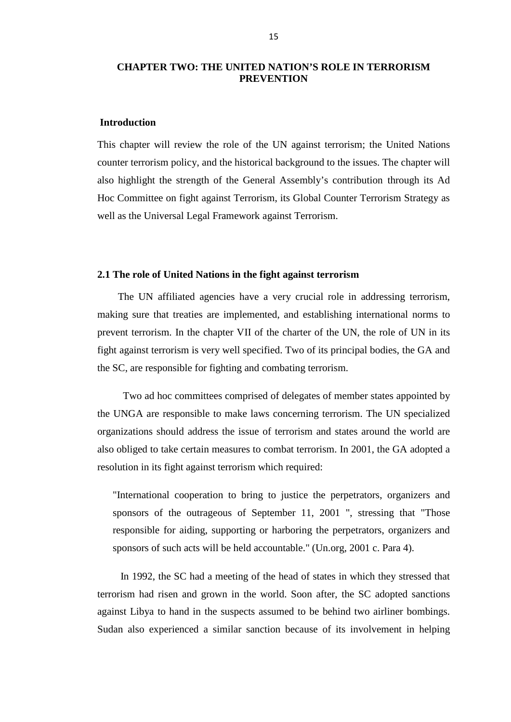# <span id="page-25-0"></span>**CHAPTER TWO: THE UNITED NATION'S ROLE IN TERRORISM PREVENTION**

#### <span id="page-25-1"></span>**Introduction**

This chapter will review the role of the UN against terrorism; the United Nations counter terrorism policy, and the historical background to the issues. The chapter will also highlight the strength of the General Assembly's contribution through its Ad Hoc Committee on fight against Terrorism, its Global Counter Terrorism Strategy as well as the Universal Legal Framework against Terrorism.

#### <span id="page-25-2"></span>**2.1 The role of United Nations in the fight against terrorism**

 The UN affiliated agencies have a very crucial role in addressing terrorism, making sure that treaties are implemented, and establishing international norms to prevent terrorism. In the chapter VII of the charter of the UN, the role of UN in its fight against terrorism is very well specified. Two of its principal bodies, the GA and the SC, are responsible for fighting and combating terrorism.

 Two ad hoc committees comprised of delegates of member states appointed by the UNGA are responsible to make laws concerning terrorism. The UN specialized organizations should address the issue of terrorism and states around the world are also obliged to take certain measures to combat terrorism. In 2001, the GA adopted a resolution in its fight against terrorism which required:

"International cooperation to bring to justice the perpetrators, organizers and sponsors of the outrageous of September 11, 2001 ", stressing that "Those responsible for aiding, supporting or harboring the perpetrators, organizers and sponsors of such acts will be held accountable." (Un.org, 2001 c. Para 4).

 In 1992, the SC had a meeting of the head of states in which they stressed that terrorism had risen and grown in the world. Soon after, the SC adopted sanctions against Libya to hand in the suspects assumed to be behind two airliner bombings. Sudan also experienced a similar sanction because of its involvement in helping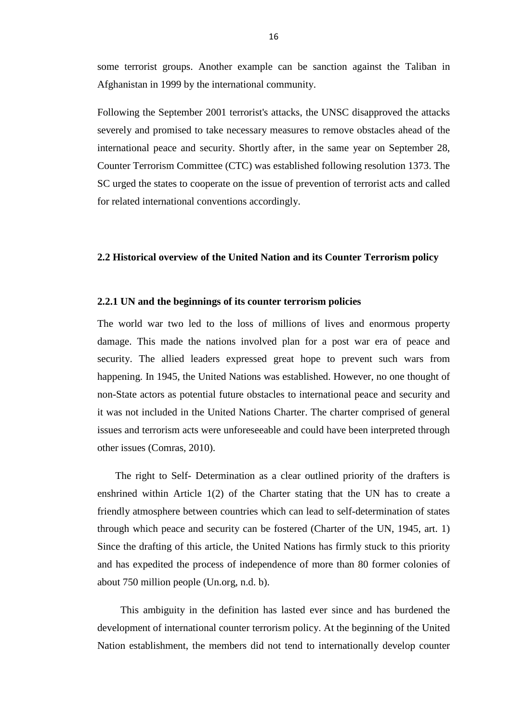some terrorist groups. Another example can be sanction against the Taliban in Afghanistan in 1999 by the international community.

Following the September 2001 terrorist's attacks, the UNSC disapproved the attacks severely and promised to take necessary measures to remove obstacles ahead of the international peace and security. Shortly after, in the same year on September 28, Counter Terrorism Committee (CTC) was established following resolution 1373. The SC urged the states to cooperate on the issue of prevention of terrorist acts and called for related international conventions accordingly.

#### <span id="page-26-0"></span>**2.2 Historical overview of the United Nation and its Counter Terrorism policy**

#### <span id="page-26-1"></span>**2.2.1 UN and the beginnings of its counter terrorism policies**

The world war two led to the loss of millions of lives and enormous property damage. This made the nations involved plan for a post war era of peace and security. The allied leaders expressed great hope to prevent such wars from happening. In 1945, the United Nations was established. However, no one thought of non-State actors as potential future obstacles to international peace and security and it was not included in the United Nations Charter. The charter comprised of general issues and terrorism acts were unforeseeable and could have been interpreted through other issues (Comras, 2010).

 The right to Self- Determination as a clear outlined priority of the drafters is enshrined within Article 1(2) of the Charter stating that the UN has to create a friendly atmosphere between countries which can lead to self-determination of states through which peace and security can be fostered (Charter of the UN, 1945, art. 1) Since the drafting of this article, the United Nations has firmly stuck to this priority and has expedited the process of independence of more than 80 former colonies of about 750 million people (Un.org, n.d. b).

 This ambiguity in the definition has lasted ever since and has burdened the development of international counter terrorism policy. At the beginning of the United Nation establishment, the members did not tend to internationally develop counter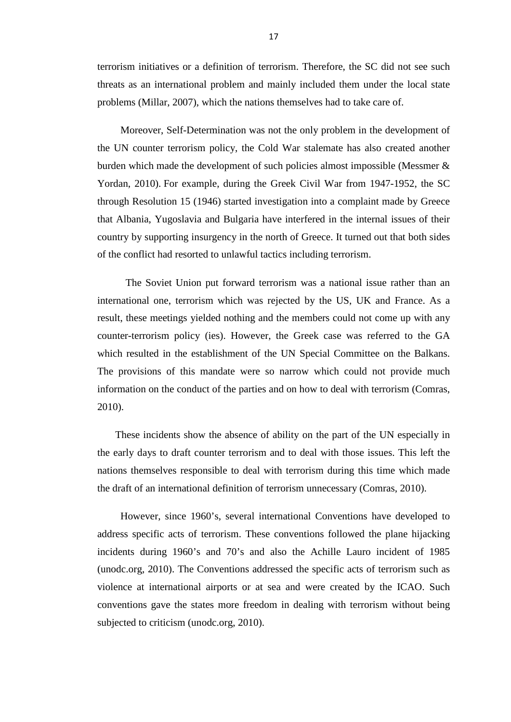terrorism initiatives or a definition of terrorism. Therefore, the SC did not see such threats as an international problem and mainly included them under the local state problems (Millar, 2007), which the nations themselves had to take care of.

 Moreover, Self-Determination was not the only problem in the development of the UN counter terrorism policy, the Cold War stalemate has also created another burden which made the development of such policies almost impossible (Messmer & Yordan, 2010). For example, during the Greek Civil War from 1947-1952, the SC through Resolution 15 (1946) started investigation into a complaint made by Greece that Albania, Yugoslavia and Bulgaria have interfered in the internal issues of their country by supporting insurgency in the north of Greece. It turned out that both sides of the conflict had resorted to unlawful tactics including terrorism.

 The Soviet Union put forward terrorism was a national issue rather than an international one, terrorism which was rejected by the US, UK and France. As a result, these meetings yielded nothing and the members could not come up with any counter-terrorism policy (ies). However, the Greek case was referred to the GA which resulted in the establishment of the UN Special Committee on the Balkans. The provisions of this mandate were so narrow which could not provide much information on the conduct of the parties and on how to deal with terrorism (Comras, 2010).

 These incidents show the absence of ability on the part of the UN especially in the early days to draft counter terrorism and to deal with those issues. This left the nations themselves responsible to deal with terrorism during this time which made the draft of an international definition of terrorism unnecessary (Comras, 2010).

 However, since 1960's, several international Conventions have developed to address specific acts of terrorism. These conventions followed the plane hijacking incidents during 1960's and 70's and also the Achille Lauro incident of 1985 (unodc.org, 2010). The Conventions addressed the specific acts of terrorism such as violence at international airports or at sea and were created by the ICAO. Such conventions gave the states more freedom in dealing with terrorism without being subjected to criticism (unodc.org, 2010).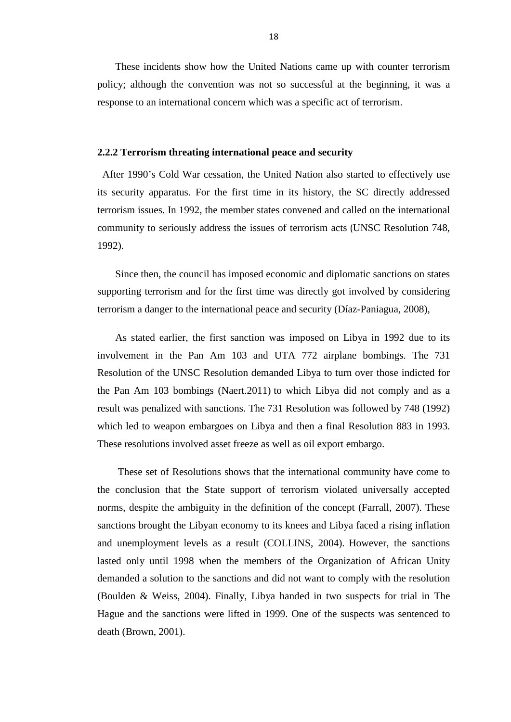These incidents show how the United Nations came up with counter terrorism policy; although the convention was not so successful at the beginning, it was a response to an international concern which was a specific act of terrorism.

#### <span id="page-28-0"></span>**2.2.2 Terrorism threating international peace and security**

 After 1990's Cold War cessation, the United Nation also started to effectively use its security apparatus. For the first time in its history, the SC directly addressed terrorism issues. In 1992, the member states convened and called on the international community to seriously address the issues of terrorism acts (UNSC Resolution 748, 1992).

 Since then, the council has imposed economic and diplomatic sanctions on states supporting terrorism and for the first time was directly got involved by considering terrorism a danger to the international peace and security (Díaz-Paniagua, 2008),

 As stated earlier, the first sanction was imposed on Libya in 1992 due to its involvement in the Pan Am 103 and UTA 772 airplane bombings. The 731 Resolution of the UNSC Resolution demanded Libya to turn over those indicted for the Pan Am 103 bombings (Naert.2011) to which Libya did not comply and as a result was penalized with sanctions. The 731 Resolution was followed by 748 (1992) which led to weapon embargoes on Libya and then a final Resolution 883 in 1993. These resolutions involved asset freeze as well as oil export embargo.

 These set of Resolutions shows that the international community have come to the conclusion that the State support of terrorism violated universally accepted norms, despite the ambiguity in the definition of the concept (Farrall, 2007). These sanctions brought the Libyan economy to its knees and Libya faced a rising inflation and unemployment levels as a result (COLLINS, 2004). However, the sanctions lasted only until 1998 when the members of the Organization of African Unity demanded a solution to the sanctions and did not want to comply with the resolution (Boulden & Weiss, 2004). Finally, Libya handed in two suspects for trial in The Hague and the sanctions were lifted in 1999. One of the suspects was sentenced to death (Brown, 2001).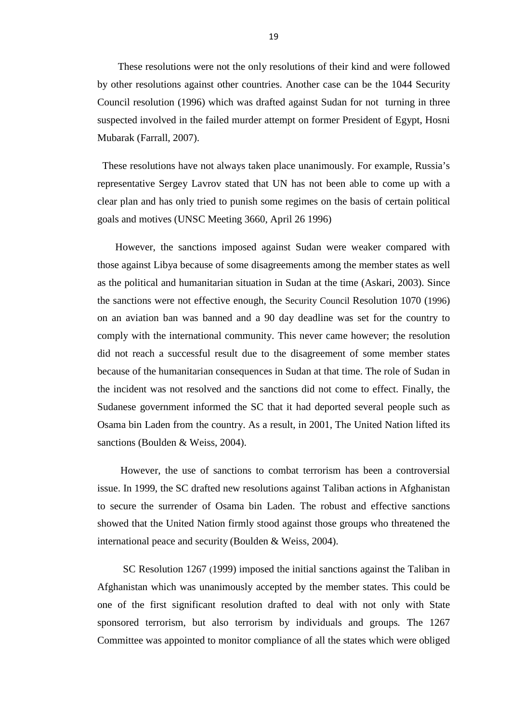These resolutions were not the only resolutions of their kind and were followed by other resolutions against other countries. Another case can be the 1044 Security Council resolution (1996) which was drafted against Sudan for not turning in three suspected involved in the failed murder attempt on former President of Egypt, Hosni Mubarak (Farrall, 2007).

 These resolutions have not always taken place unanimously. For example, Russia's representative Sergey Lavrov stated that UN has not been able to come up with a clear plan and has only tried to punish some regimes on the basis of certain political goals and motives (UNSC Meeting 3660, April 26 1996)

 However, the sanctions imposed against Sudan were weaker compared with those against Libya because of some disagreements among the member states as well as the political and humanitarian situation in Sudan at the time (Askari, 2003). Since the sanctions were not effective enough, the Security Council Resolution 1070 (1996) on an aviation ban was banned and a 90 day deadline was set for the country to comply with the international community. This never came however; the resolution did not reach a successful result due to the disagreement of some member states because of the humanitarian consequences in Sudan at that time. The role of Sudan in the incident was not resolved and the sanctions did not come to effect. Finally, the Sudanese government informed the SC that it had deported several people such as Osama bin Laden from the country. As a result, in 2001, The United Nation lifted its sanctions (Boulden & Weiss, 2004).

 However, the use of sanctions to combat terrorism has been a controversial issue. In 1999, the SC drafted new resolutions against Taliban actions in Afghanistan to secure the surrender of Osama bin Laden. The robust and effective sanctions showed that the United Nation firmly stood against those groups who threatened the international peace and security (Boulden & Weiss, 2004).

 SC Resolution 1267 (1999) imposed the initial sanctions against the Taliban in Afghanistan which was unanimously accepted by the member states. This could be one of the first significant resolution drafted to deal with not only with State sponsored terrorism, but also terrorism by individuals and groups*.* The 1267 Committee was appointed to monitor compliance of all the states which were obliged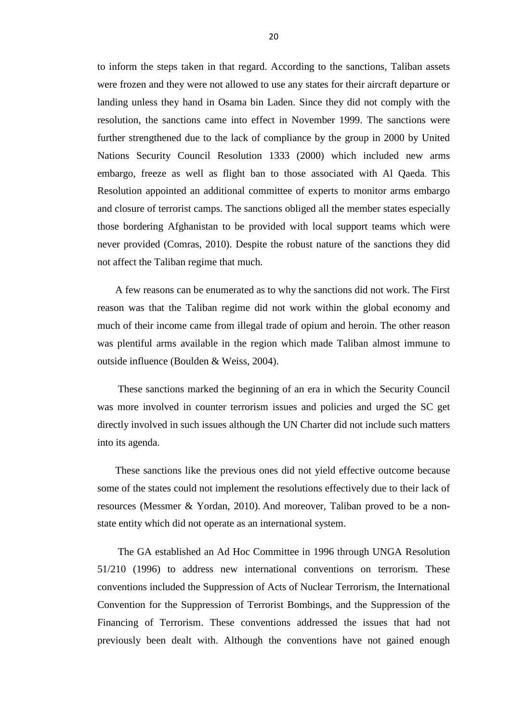to inform the steps taken in that regard. According to the sanctions, Taliban assets were frozen and they were not allowed to use any states for their aircraft departure or landing unless they hand in Osama bin Laden. Since they did not comply with the resolution, the sanctions came into effect in November 1999. The sanctions were further strengthened due to the lack of compliance by the group in 2000 by United Nations Security Council Resolution 1333 (2000) which included new arms embargo, freeze as well as flight ban to those associated with Al Qaeda. This Resolution appointed an additional committee of experts to monitor arms embargo and closure of terrorist camps. The sanctions obliged all the member states especially those bordering Afghanistan to be provided with local support teams which were never provided (Comras, 2010). Despite the robust nature of the sanctions they did not affect the Taliban regime that much.

 A few reasons can be enumerated as to why the sanctions did not work. The First reason was that the Taliban regime did not work within the global economy and much of their income came from illegal trade of opium and heroin. The other reason was plentiful arms available in the region which made Taliban almost immune to outside influence (Boulden & Weiss, 2004).

 These sanctions marked the beginning of an era in which the Security Council was more involved in counter terrorism issues and policies and urged the SC get directly involved in such issues although the UN Charter did not include such matters into its agenda.

 These sanctions like the previous ones did not yield effective outcome because some of the states could not implement the resolutions effectively due to their lack of resources (Messmer & Yordan, 2010). And moreover, Taliban proved to be a nonstate entity which did not operate as an international system.

 The GA established an Ad Hoc Committee in 1996 through UNGA Resolution 51/210 (1996) to address new international conventions on terrorism*.* These conventions included the Suppression of Acts of Nuclear Terrorism, the International Convention for the Suppression of Terrorist Bombings, and the Suppression of the Financing of Terrorism. These conventions addressed the issues that had not previously been dealt with. Although the conventions have not gained enough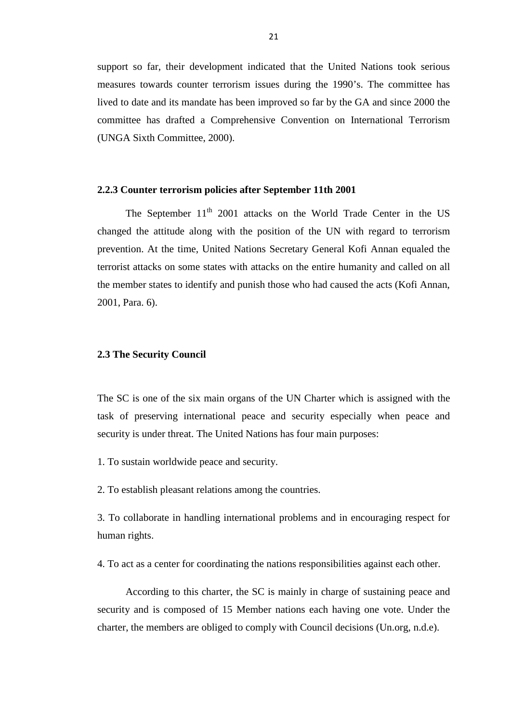support so far, their development indicated that the United Nations took serious measures towards counter terrorism issues during the 1990's. The committee has lived to date and its mandate has been improved so far by the GA and since 2000 the committee has drafted a Comprehensive Convention on International Terrorism (UNGA Sixth Committee, 2000).

#### <span id="page-31-0"></span>**2.2.3 Counter terrorism policies after September 11th 2001**

The September  $11<sup>th</sup>$  2001 attacks on the World Trade Center in the US changed the attitude along with the position of the UN with regard to terrorism prevention. At the time, United Nations Secretary General Kofi Annan equaled the terrorist attacks on some states with attacks on the entire humanity and called on all the member states to identify and punish those who had caused the acts (Kofi Annan, 2001, Para. 6).

#### <span id="page-31-1"></span>**2.3 The Security Council**

The SC is one of the six main organs of the UN Charter which is assigned with the task of preserving international peace and security especially when peace and security is under threat. The United Nations has four main purposes:

1. To sustain worldwide peace and security.

2. To establish pleasant relations among the countries.

3. To collaborate in handling international problems and in encouraging respect for human rights.

4. To act as a center for coordinating the nations responsibilities against each other.

 According to this charter, the SC is mainly in charge of sustaining peace and security and is composed of 15 Member nations each having one vote. Under the charter, the members are obliged to comply with Council decisions (Un.org, n.d.e).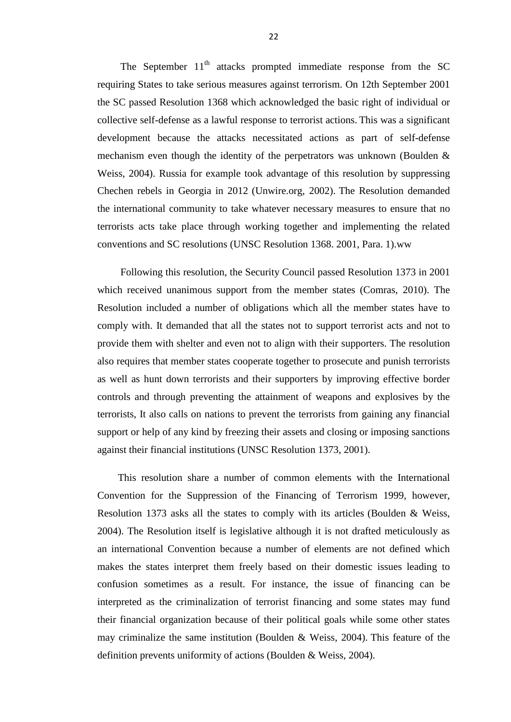The September  $11<sup>th</sup>$  attacks prompted immediate response from the SC requiring States to take serious measures against terrorism. On 12th September 2001 the SC passed Resolution 1368 which acknowledged the basic right of individual or collective self-defense as a lawful response to terrorist actions. This was a significant development because the attacks necessitated actions as part of self-defense mechanism even though the identity of the perpetrators was unknown (Boulden & Weiss, 2004). Russia for example took advantage of this resolution by suppressing Chechen rebels in Georgia in 2012 (Unwire.org, 2002). The Resolution demanded the international community to take whatever necessary measures to ensure that no terrorists acts take place through working together and implementing the related conventions and SC resolutions (UNSC Resolution 1368. 2001, Para. 1).ww

 Following this resolution, the Security Council passed Resolution 1373 in 2001 which received unanimous support from the member states (Comras, 2010). The Resolution included a number of obligations which all the member states have to comply with. It demanded that all the states not to support terrorist acts and not to provide them with shelter and even not to align with their supporters. The resolution also requires that member states cooperate together to prosecute and punish terrorists as well as hunt down terrorists and their supporters by improving effective border controls and through preventing the attainment of weapons and explosives by the terrorists, It also calls on nations to prevent the terrorists from gaining any financial support or help of any kind by freezing their assets and closing or imposing sanctions against their financial institutions (UNSC Resolution 1373, 2001).

 This resolution share a number of common elements with the International Convention for the Suppression of the Financing of Terrorism 1999, however, Resolution 1373 asks all the states to comply with its articles (Boulden & Weiss, 2004). The Resolution itself is legislative although it is not drafted meticulously as an international Convention because a number of elements are not defined which makes the states interpret them freely based on their domestic issues leading to confusion sometimes as a result. For instance, the issue of financing can be interpreted as the criminalization of terrorist financing and some states may fund their financial organization because of their political goals while some other states may criminalize the same institution (Boulden & Weiss, 2004). This feature of the definition prevents uniformity of actions (Boulden & Weiss, 2004).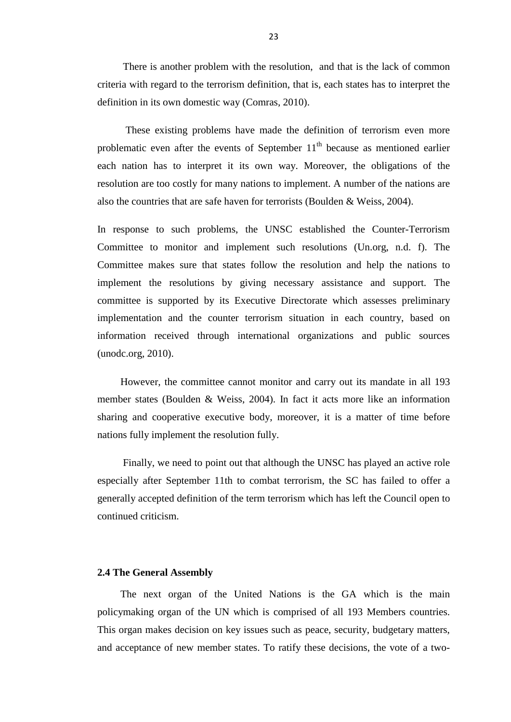There is another problem with the resolution, and that is the lack of common criteria with regard to the terrorism definition, that is, each states has to interpret the definition in its own domestic way (Comras, 2010).

 These existing problems have made the definition of terrorism even more problematic even after the events of September  $11<sup>th</sup>$  because as mentioned earlier each nation has to interpret it its own way. Moreover, the obligations of the resolution are too costly for many nations to implement. A number of the nations are also the countries that are safe haven for terrorists (Boulden & Weiss, 2004).

In response to such problems, the UNSC established the Counter-Terrorism Committee to monitor and implement such resolutions (Un.org, n.d. f). The Committee makes sure that states follow the resolution and help the nations to implement the resolutions by giving necessary assistance and support. The committee is supported by its Executive Directorate which assesses preliminary implementation and the counter terrorism situation in each country, based on information received through international organizations and public sources (unodc.org, 2010).

 However, the committee cannot monitor and carry out its mandate in all 193 member states (Boulden & Weiss, 2004). In fact it acts more like an information sharing and cooperative executive body, moreover, it is a matter of time before nations fully implement the resolution fully.

 Finally, we need to point out that although the UNSC has played an active role especially after September 11th to combat terrorism, the SC has failed to offer a generally accepted definition of the term terrorism which has left the Council open to continued criticism.

# <span id="page-33-0"></span>**2.4 The General Assembly**

 The next organ of the United Nations is the GA which is the main policymaking organ of the UN which is comprised of all 193 Members countries. This organ makes decision on key issues such as peace, security, budgetary matters, and acceptance of new member states. To ratify these decisions, the vote of a two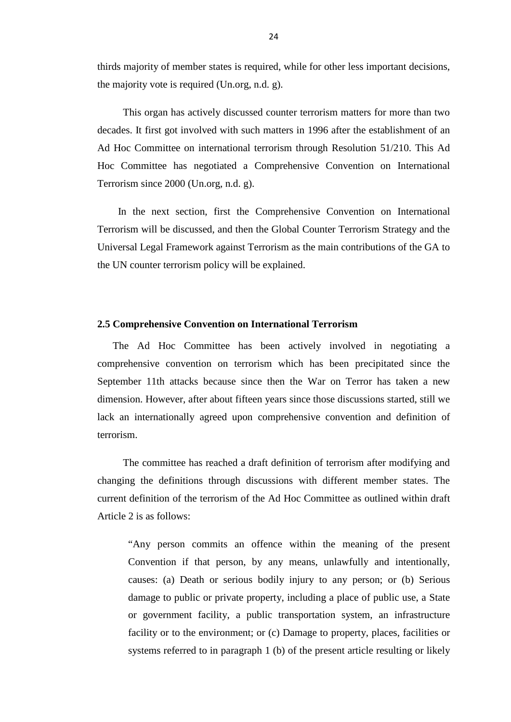thirds majority of member states is required, while for other less important decisions, the majority vote is required (Un.org, n.d. g).

 This organ has actively discussed counter terrorism matters for more than two decades. It first got involved with such matters in 1996 after the establishment of an Ad Hoc Committee on international terrorism through Resolution 51/210. This Ad Hoc Committee has negotiated a Comprehensive Convention on International Terrorism since 2000 (Un.org, n.d. g).

 In the next section, first the Comprehensive Convention on International Terrorism will be discussed, and then the Global Counter Terrorism Strategy and the Universal Legal Framework against Terrorism as the main contributions of the GA to the UN counter terrorism policy will be explained.

#### <span id="page-34-0"></span>**2.5 Comprehensive Convention on International Terrorism**

 The Ad Hoc Committee has been actively involved in negotiating a comprehensive convention on terrorism which has been precipitated since the September 11th attacks because since then the War on Terror has taken a new dimension. However, after about fifteen years since those discussions started, still we lack an internationally agreed upon comprehensive convention and definition of terrorism.

 The committee has reached a draft definition of terrorism after modifying and changing the definitions through discussions with different member states. The current definition of the terrorism of the Ad Hoc Committee as outlined within draft Article 2 is as follows:

"Any person commits an offence within the meaning of the present Convention if that person, by any means, unlawfully and intentionally, causes: (a) Death or serious bodily injury to any person; or (b) Serious damage to public or private property, including a place of public use, a State or government facility, a public transportation system, an infrastructure facility or to the environment; or (c) Damage to property, places, facilities or systems referred to in paragraph 1 (b) of the present article resulting or likely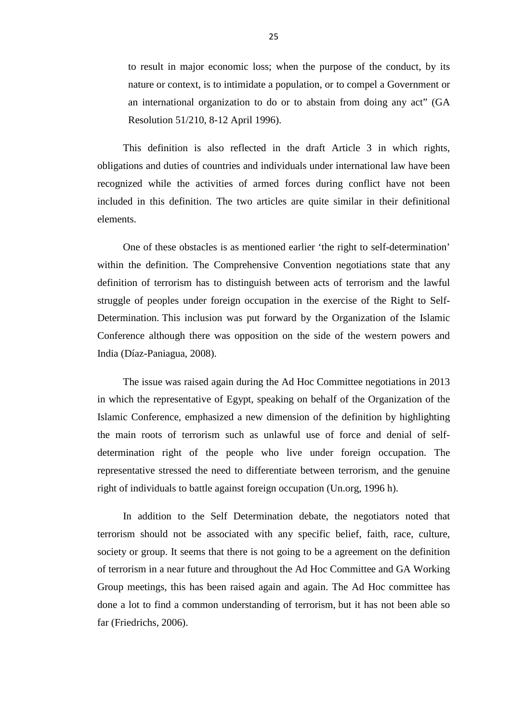to result in major economic loss; when the purpose of the conduct, by its nature or context, is to intimidate a population, or to compel a Government or an international organization to do or to abstain from doing any act" (GA Resolution 51/210, 8-12 April 1996).

 This definition is also reflected in the draft Article 3 in which rights, obligations and duties of countries and individuals under international law have been recognized while the activities of armed forces during conflict have not been included in this definition. The two articles are quite similar in their definitional elements.

 One of these obstacles is as mentioned earlier 'the right to self-determination' within the definition. The Comprehensive Convention negotiations state that any definition of terrorism has to distinguish between acts of terrorism and the lawful struggle of peoples under foreign occupation in the exercise of the Right to Self-Determination. This inclusion was put forward by the Organization of the Islamic Conference although there was opposition on the side of the western powers and India (Díaz-Paniagua, 2008).

 The issue was raised again during the Ad Hoc Committee negotiations in 2013 in which the representative of Egypt, speaking on behalf of the Organization of the Islamic Conference, emphasized a new dimension of the definition by highlighting the main roots of terrorism such as unlawful use of force and denial of selfdetermination right of the people who live under foreign occupation. The representative stressed the need to differentiate between terrorism, and the genuine right of individuals to battle against foreign occupation (Un.org, 1996 h).

 In addition to the Self Determination debate, the negotiators noted that terrorism should not be associated with any specific belief, faith, race, culture, society or group. It seems that there is not going to be a agreement on the definition of terrorism in a near future and throughout the Ad Hoc Committee and GA Working Group meetings, this has been raised again and again. The Ad Hoc committee has done a lot to find a common understanding of terrorism, but it has not been able so far (Friedrichs, 2006).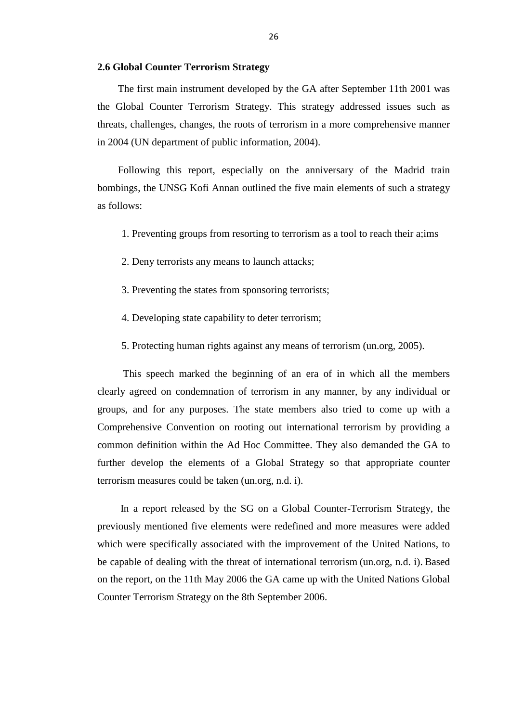#### <span id="page-36-0"></span>**2.6 Global Counter Terrorism Strategy**

 The first main instrument developed by the GA after September 11th 2001 was the Global Counter Terrorism Strategy. This strategy addressed issues such as threats, challenges, changes, the roots of terrorism in a more comprehensive manner in 2004 (UN department of public information, 2004).

 Following this report, especially on the anniversary of the Madrid train bombings, the UNSG Kofi Annan outlined the five main elements of such a strategy as follows:

1. Preventing groups from resorting to terrorism as a tool to reach their a;ims

2. Deny terrorists any means to launch attacks;

- 3. Preventing the states from sponsoring terrorists;
- 4. Developing state capability to deter terrorism;
- 5. Protecting human rights against any means of terrorism (un.org, 2005).

 This speech marked the beginning of an era of in which all the members clearly agreed on condemnation of terrorism in any manner, by any individual or groups, and for any purposes. The state members also tried to come up with a Comprehensive Convention on rooting out international terrorism by providing a common definition within the Ad Hoc Committee. They also demanded the GA to further develop the elements of a Global Strategy so that appropriate counter terrorism measures could be taken (un.org, n.d. i).

 In a report released by the SG on a Global Counter-Terrorism Strategy, the previously mentioned five elements were redefined and more measures were added which were specifically associated with the improvement of the United Nations, to be capable of dealing with the threat of international terrorism (un.org, n.d. i). Based on the report, on the 11th May 2006 the GA came up with the United Nations Global Counter Terrorism Strategy on the 8th September 2006.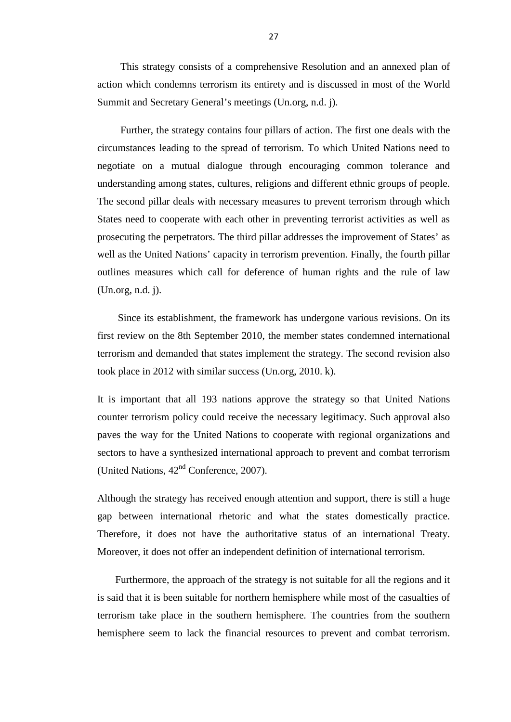This strategy consists of a comprehensive Resolution and an annexed plan of action which condemns terrorism its entirety and is discussed in most of the World Summit and Secretary General's meetings (Un.org, n.d. j).

 Further, the strategy contains four pillars of action. The first one deals with the circumstances leading to the spread of terrorism. To which United Nations need to negotiate on a mutual dialogue through encouraging common tolerance and understanding among states, cultures, religions and different ethnic groups of people. The second pillar deals with necessary measures to prevent terrorism through which States need to cooperate with each other in preventing terrorist activities as well as prosecuting the perpetrators. The third pillar addresses the improvement of States' as well as the United Nations' capacity in terrorism prevention. Finally, the fourth pillar outlines measures which call for deference of human rights and the rule of law (Un.org, n.d. j).

 Since its establishment, the framework has undergone various revisions. On its first review on the 8th September 2010, the member states condemned international terrorism and demanded that states implement the strategy. The second revision also took place in 2012 with similar success (Un.org, 2010. k).

It is important that all 193 nations approve the strategy so that United Nations counter terrorism policy could receive the necessary legitimacy. Such approval also paves the way for the United Nations to cooperate with regional organizations and sectors to have a synthesized international approach to prevent and combat terrorism (United Nations,  $42<sup>nd</sup>$  Conference, 2007).

Although the strategy has received enough attention and support, there is still a huge gap between international rhetoric and what the states domestically practice. Therefore, it does not have the authoritative status of an international Treaty. Moreover, it does not offer an independent definition of international terrorism.

 Furthermore, the approach of the strategy is not suitable for all the regions and it is said that it is been suitable for northern hemisphere while most of the casualties of terrorism take place in the southern hemisphere. The countries from the southern hemisphere seem to lack the financial resources to prevent and combat terrorism.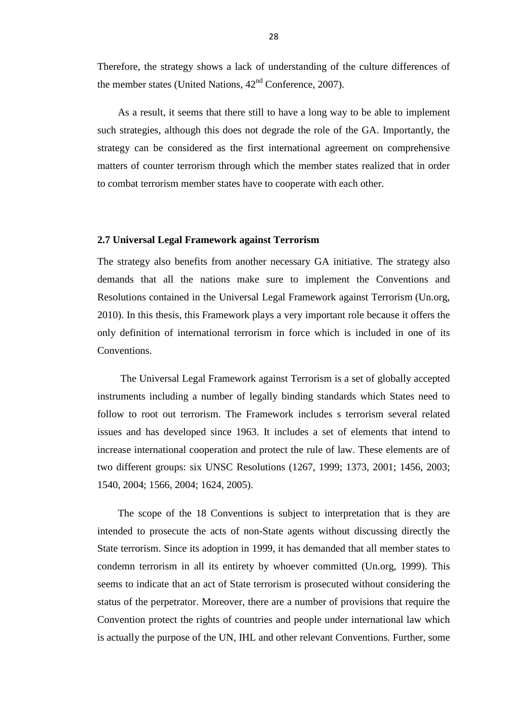Therefore, the strategy shows a lack of understanding of the culture differences of the member states (United Nations,  $42<sup>nd</sup>$  Conference, 2007).

 As a result, it seems that there still to have a long way to be able to implement such strategies, although this does not degrade the role of the GA. Importantly, the strategy can be considered as the first international agreement on comprehensive matters of counter terrorism through which the member states realized that in order to combat terrorism member states have to cooperate with each other.

# <span id="page-38-0"></span>**2.7 Universal Legal Framework against Terrorism**

The strategy also benefits from another necessary GA initiative. The strategy also demands that all the nations make sure to implement the Conventions and Resolutions contained in the Universal Legal Framework against Terrorism (Un.org, 2010). In this thesis, this Framework plays a very important role because it offers the only definition of international terrorism in force which is included in one of its Conventions.

 The Universal Legal Framework against Terrorism is a set of globally accepted instruments including a number of legally binding standards which States need to follow to root out terrorism. The Framework includes s terrorism several related issues and has developed since 1963. It includes a set of elements that intend to increase international cooperation and protect the rule of law. These elements are of two different groups: six UNSC Resolutions (1267, 1999; 1373, 2001; 1456, 2003; 1540, 2004; 1566, 2004; 1624, 2005).

 The scope of the 18 Conventions is subject to interpretation that is they are intended to prosecute the acts of non-State agents without discussing directly the State terrorism. Since its adoption in 1999, it has demanded that all member states to condemn terrorism in all its entirety by whoever committed (Un.org, 1999). This seems to indicate that an act of State terrorism is prosecuted without considering the status of the perpetrator. Moreover, there are a number of provisions that require the Convention protect the rights of countries and people under international law which is actually the purpose of the UN, IHL and other relevant Conventions. Further, some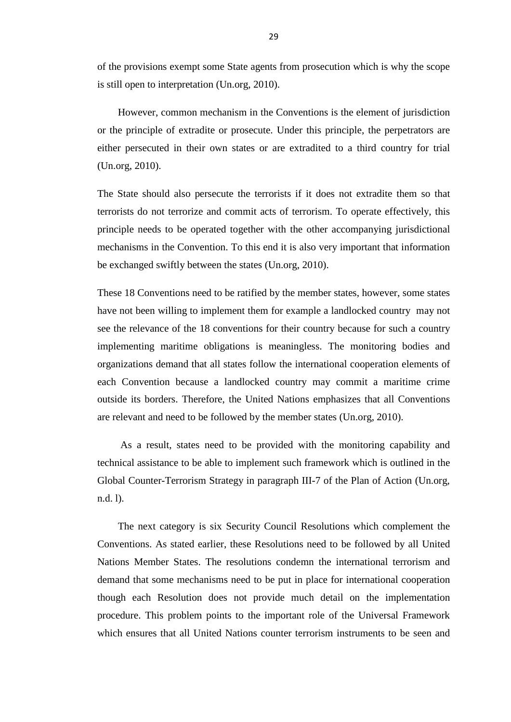of the provisions exempt some State agents from prosecution which is why the scope is still open to interpretation (Un.org, 2010).

 However, common mechanism in the Conventions is the element of jurisdiction or the principle of extradite or prosecute. Under this principle, the perpetrators are either persecuted in their own states or are extradited to a third country for trial (Un.org, 2010).

The State should also persecute the terrorists if it does not extradite them so that terrorists do not terrorize and commit acts of terrorism. To operate effectively, this principle needs to be operated together with the other accompanying jurisdictional mechanisms in the Convention. To this end it is also very important that information be exchanged swiftly between the states (Un.org, 2010).

These 18 Conventions need to be ratified by the member states, however, some states have not been willing to implement them for example a landlocked country may not see the relevance of the 18 conventions for their country because for such a country implementing maritime obligations is meaningless. The monitoring bodies and organizations demand that all states follow the international cooperation elements of each Convention because a landlocked country may commit a maritime crime outside its borders. Therefore, the United Nations emphasizes that all Conventions are relevant and need to be followed by the member states (Un.org, 2010).

 As a result, states need to be provided with the monitoring capability and technical assistance to be able to implement such framework which is outlined in the Global Counter-Terrorism Strategy in paragraph III-7 of the Plan of Action (Un.org, n.d. l).

 The next category is six Security Council Resolutions which complement the Conventions. As stated earlier, these Resolutions need to be followed by all United Nations Member States. The resolutions condemn the international terrorism and demand that some mechanisms need to be put in place for international cooperation though each Resolution does not provide much detail on the implementation procedure. This problem points to the important role of the Universal Framework which ensures that all United Nations counter terrorism instruments to be seen and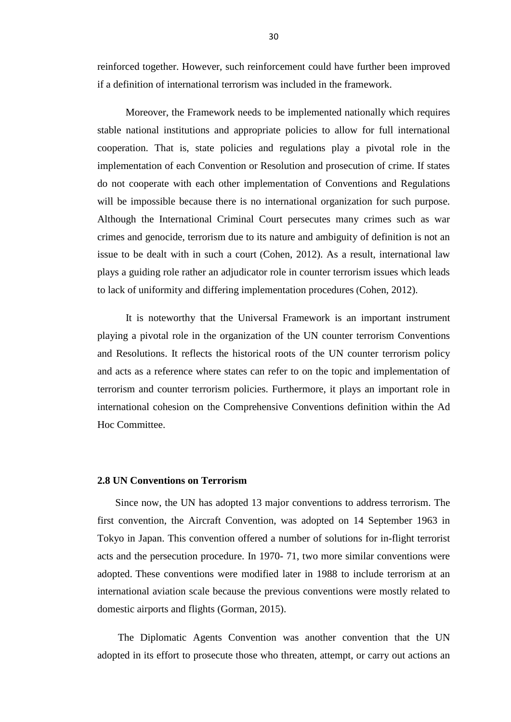reinforced together. However, such reinforcement could have further been improved if a definition of international terrorism was included in the framework.

 Moreover, the Framework needs to be implemented nationally which requires stable national institutions and appropriate policies to allow for full international cooperation. That is, state policies and regulations play a pivotal role in the implementation of each Convention or Resolution and prosecution of crime. If states do not cooperate with each other implementation of Conventions and Regulations will be impossible because there is no international organization for such purpose. Although the International Criminal Court persecutes many crimes such as war crimes and genocide, terrorism due to its nature and ambiguity of definition is not an issue to be dealt with in such a court (Cohen, 2012). As a result, international law plays a guiding role rather an adjudicator role in counter terrorism issues which leads to lack of uniformity and differing implementation procedures (Cohen, 2012).

 It is noteworthy that the Universal Framework is an important instrument playing a pivotal role in the organization of the UN counter terrorism Conventions and Resolutions. It reflects the historical roots of the UN counter terrorism policy and acts as a reference where states can refer to on the topic and implementation of terrorism and counter terrorism policies. Furthermore, it plays an important role in international cohesion on the Comprehensive Conventions definition within the Ad Hoc Committee.

#### <span id="page-40-0"></span>**2.8 UN Conventions on Terrorism**

 Since now, the UN has adopted 13 major conventions to address terrorism. The first convention, the Aircraft Convention, was adopted on 14 September 1963 in Tokyo in Japan. This convention offered a number of solutions for in-flight terrorist acts and the persecution procedure. In 1970- 71, two more similar conventions were adopted. These conventions were modified later in 1988 to include terrorism at an international aviation scale because the previous conventions were mostly related to domestic airports and flights (Gorman, 2015).

 The Diplomatic Agents Convention was another convention that the UN adopted in its effort to prosecute those who threaten, attempt, or carry out actions an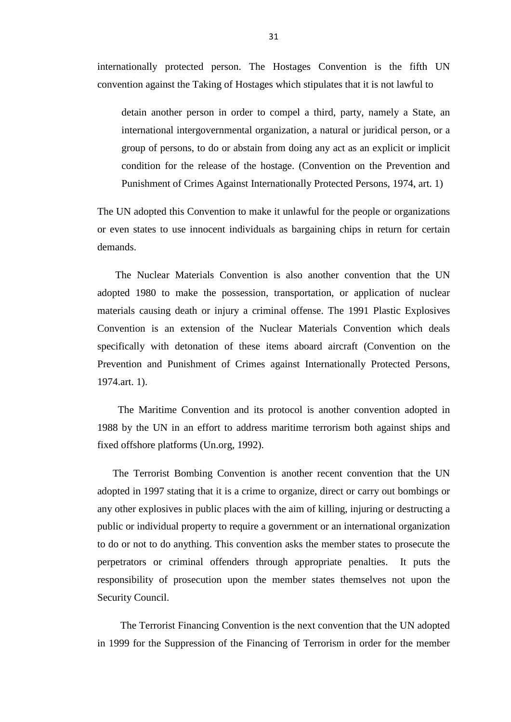internationally protected person. The Hostages Convention is the fifth UN convention against the Taking of Hostages which stipulates that it is not lawful to

detain another person in order to compel a third, party, namely a State, an international intergovernmental organization, a natural or juridical person, or a group of persons, to do or abstain from doing any act as an explicit or implicit condition for the release of the hostage. (Convention on the Prevention and Punishment of Crimes Against Internationally Protected Persons, 1974, art. 1)

The UN adopted this Convention to make it unlawful for the people or organizations or even states to use innocent individuals as bargaining chips in return for certain demands.

 The Nuclear Materials Convention is also another convention that the UN adopted 1980 to make the possession, transportation, or application of nuclear materials causing death or injury a criminal offense. The 1991 Plastic Explosives Convention is an extension of the Nuclear Materials Convention which deals specifically with detonation of these items aboard aircraft (Convention on the Prevention and Punishment of Crimes against Internationally Protected Persons, 1974.art. 1).

 The Maritime Convention and its protocol is another convention adopted in 1988 by the UN in an effort to address maritime terrorism both against ships and fixed offshore platforms (Un.org, 1992).

 The Terrorist Bombing Convention is another recent convention that the UN adopted in 1997 stating that it is a crime to organize, direct or carry out bombings or any other explosives in public places with the aim of killing, injuring or destructing a public or individual property to require a government or an international organization to do or not to do anything. This convention asks the member states to prosecute the perpetrators or criminal offenders through appropriate penalties. It puts the responsibility of prosecution upon the member states themselves not upon the Security Council.

 The Terrorist Financing Convention is the next convention that the UN adopted in 1999 for the Suppression of the Financing of Terrorism in order for the member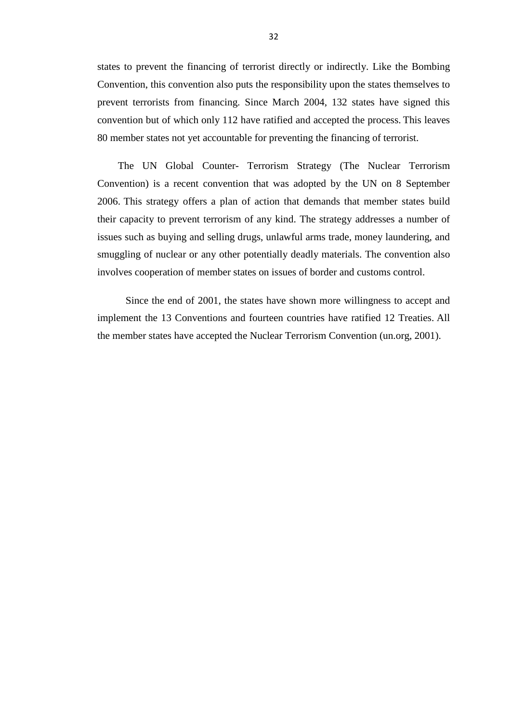states to prevent the financing of terrorist directly or indirectly. Like the Bombing Convention, this convention also puts the responsibility upon the states themselves to prevent terrorists from financing. Since March 2004, 132 states have signed this convention but of which only 112 have ratified and accepted the process. This leaves 80 member states not yet accountable for preventing the financing of terrorist.

 The UN Global Counter- Terrorism Strategy (The Nuclear Terrorism Convention) is a recent convention that was adopted by the UN on 8 September 2006. This strategy offers a plan of action that demands that member states build their capacity to prevent terrorism of any kind. The strategy addresses a number of issues such as buying and selling drugs, unlawful arms trade, money laundering, and smuggling of nuclear or any other potentially deadly materials. The convention also involves cooperation of member states on issues of border and customs control.

 Since the end of 2001, the states have shown more willingness to accept and implement the 13 Conventions and fourteen countries have ratified 12 Treaties. All the member states have accepted the Nuclear Terrorism Convention (un.org, 2001).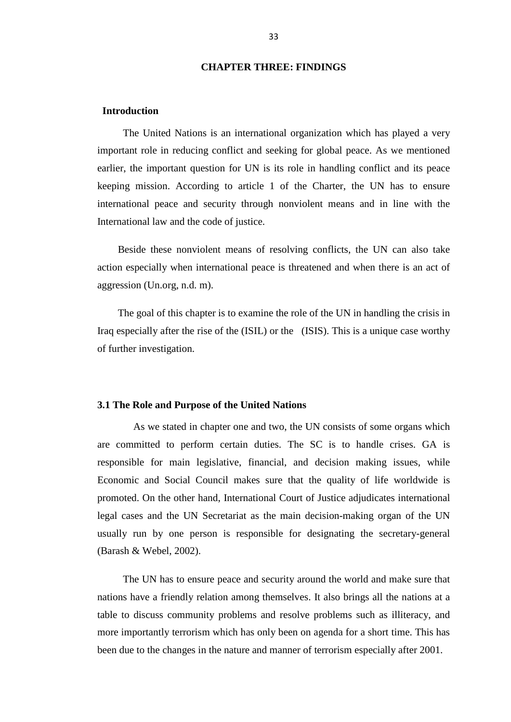# **CHAPTER THREE: FINDINGS**

# <span id="page-43-1"></span><span id="page-43-0"></span>**Introduction**

 The United Nations is an international organization which has played a very important role in reducing conflict and seeking for global peace. As we mentioned earlier, the important question for UN is its role in handling conflict and its peace keeping mission. According to article 1 of the Charter, the UN has to ensure international peace and security through nonviolent means and in line with the International law and the code of justice.

 Beside these nonviolent means of resolving conflicts, the UN can also take action especially when international peace is threatened and when there is an act of aggression (Un.org, n.d. m).

 The goal of this chapter is to examine the role of the UN in handling the crisis in Iraq especially after the rise of the (ISIL) or the (ISIS). This is a unique case worthy of further investigation.

#### <span id="page-43-2"></span>**3.1 The Role and Purpose of the United Nations**

As we stated in chapter one and two, the UN consists of some organs which are committed to perform certain duties. The SC is to handle crises. GA is responsible for main legislative, financial, and decision making issues, while Economic and Social Council makes sure that the quality of life worldwide is promoted. On the other hand, International Court of Justice adjudicates international legal cases and the UN Secretariat as the main decision-making organ of the UN usually run by one person is responsible for designating the secretary-general (Barash & Webel, 2002).

 The UN has to ensure peace and security around the world and make sure that nations have a friendly relation among themselves. It also brings all the nations at a table to discuss community problems and resolve problems such as illiteracy, and more importantly terrorism which has only been on agenda for a short time. This has been due to the changes in the nature and manner of terrorism especially after 2001.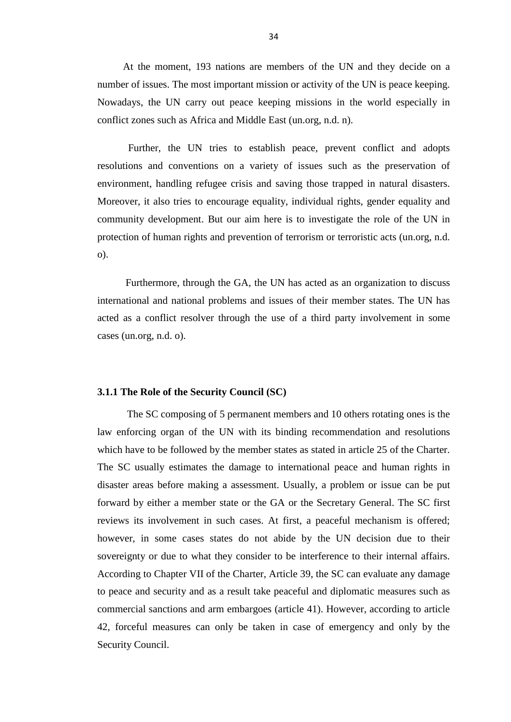At the moment, 193 nations are members of the UN and they decide on a number of issues. The most important mission or activity of the UN is peace keeping. Nowadays, the UN carry out peace keeping missions in the world especially in conflict zones such as Africa and Middle East (un.org, n.d. n).

 Further, the UN tries to establish peace, prevent conflict and adopts resolutions and conventions on a variety of issues such as the preservation of environment, handling refugee crisis and saving those trapped in natural disasters. Moreover, it also tries to encourage equality, individual rights, gender equality and community development. But our aim here is to investigate the role of the UN in protection of human rights and prevention of terrorism or terroristic acts (un.org, n.d. o).

 Furthermore, through the GA, the UN has acted as an organization to discuss international and national problems and issues of their member states. The UN has acted as a conflict resolver through the use of a third party involvement in some cases (un.org, n.d. o).

### <span id="page-44-0"></span>**3.1.1 The Role of the Security Council (SC)**

 The SC composing of 5 permanent members and 10 others rotating ones is the law enforcing organ of the UN with its binding recommendation and resolutions which have to be followed by the member states as stated in article 25 of the Charter. The SC usually estimates the damage to international peace and human rights in disaster areas before making a assessment. Usually, a problem or issue can be put forward by either a member state or the GA or the Secretary General. The SC first reviews its involvement in such cases. At first, a peaceful mechanism is offered; however, in some cases states do not abide by the UN decision due to their sovereignty or due to what they consider to be interference to their internal affairs. According to Chapter VII of the Charter, Article 39, the SC can evaluate any damage to peace and security and as a result take peaceful and diplomatic measures such as commercial sanctions and arm embargoes (article 41). However, according to article 42, forceful measures can only be taken in case of emergency and only by the Security Council.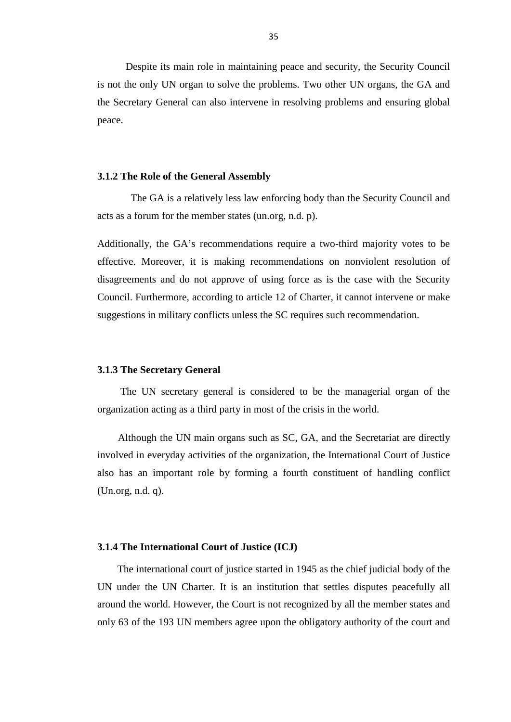Despite its main role in maintaining peace and security, the Security Council is not the only UN organ to solve the problems. Two other UN organs, the GA and the Secretary General can also intervene in resolving problems and ensuring global peace.

#### <span id="page-45-0"></span>**3.1.2 The Role of the General Assembly**

 The GA is a relatively less law enforcing body than the Security Council and acts as a forum for the member states (un.org, n.d. p).

Additionally, the GA's recommendations require a two-third majority votes to be effective. Moreover, it is making recommendations on nonviolent resolution of disagreements and do not approve of using force as is the case with the Security Council. Furthermore, according to article 12 of Charter, it cannot intervene or make suggestions in military conflicts unless the SC requires such recommendation.

#### <span id="page-45-1"></span>**3.1.3 The Secretary General**

 The UN secretary general is considered to be the managerial organ of the organization acting as a third party in most of the crisis in the world.

 Although the UN main organs such as SC, GA, and the Secretariat are directly involved in everyday activities of the organization, the International Court of Justice also has an important role by forming a fourth constituent of handling conflict (Un.org, n.d. q).

#### <span id="page-45-2"></span>**3.1.4 The International Court of Justice (ICJ)**

 The international court of justice started in 1945 as the chief judicial body of the UN under the UN Charter. It is an institution that settles disputes peacefully all around the world. However, the Court is not recognized by all the member states and only 63 of the 193 UN members agree upon the obligatory authority of the court and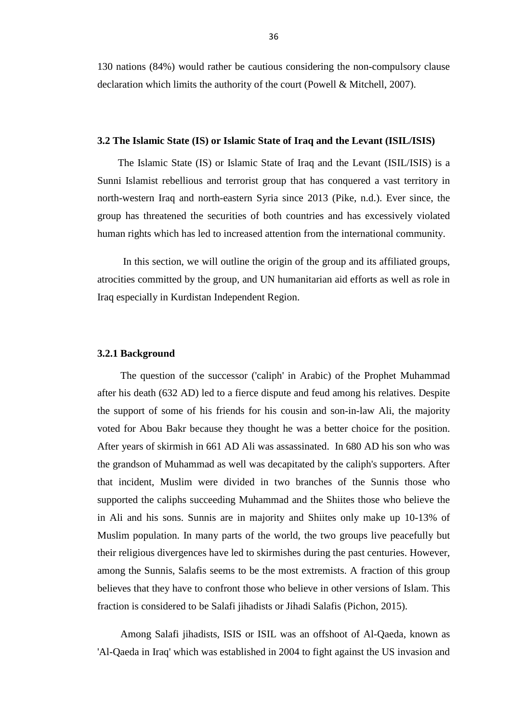130 nations (84%) would rather be cautious considering the non-compulsory clause declaration which limits the authority of the court (Powell & Mitchell, 2007).

#### <span id="page-46-0"></span>**3.2 The Islamic State (IS) or Islamic State of Iraq and the Levant (ISIL/ISIS)**

 The Islamic State (IS) or Islamic State of Iraq and the Levant (ISIL/ISIS) is a Sunni Islamist rebellious and terrorist group that has conquered a vast territory in north-western Iraq and north-eastern Syria since 2013 (Pike, n.d.). Ever since, the group has threatened the securities of both countries and has excessively violated human rights which has led to increased attention from the international community.

 In this section, we will outline the origin of the group and its affiliated groups, atrocities committed by the group, and UN humanitarian aid efforts as well as role in Iraq especially in Kurdistan Independent Region.

#### <span id="page-46-1"></span>**3.2.1 Background**

 The question of the successor ('caliph' in Arabic) of the Prophet Muhammad after his death (632 AD) led to a fierce dispute and feud among his relatives. Despite the support of some of his friends for his cousin and son-in-law Ali, the majority voted for Abou Bakr because they thought he was a better choice for the position. After years of skirmish in 661 AD Ali was assassinated. In 680 AD his son who was the grandson of Muhammad as well was decapitated by the caliph's supporters. After that incident, Muslim were divided in two branches of the Sunnis those who supported the caliphs succeeding Muhammad and the Shiites those who believe the in Ali and his sons. Sunnis are in majority and Shiites only make up 10-13% of Muslim population. In many parts of the world, the two groups live peacefully but their religious divergences have led to skirmishes during the past centuries. However, among the Sunnis, Salafis seems to be the most extremists. A fraction of this group believes that they have to confront those who believe in other versions of Islam. This fraction is considered to be Salafi jihadists or Jihadi Salafis (Pichon, 2015).

 Among Salafi jihadists, ISIS or ISIL was an offshoot of Al-Qaeda, known as 'Al-Qaeda in Iraq' which was established in 2004 to fight against the US invasion and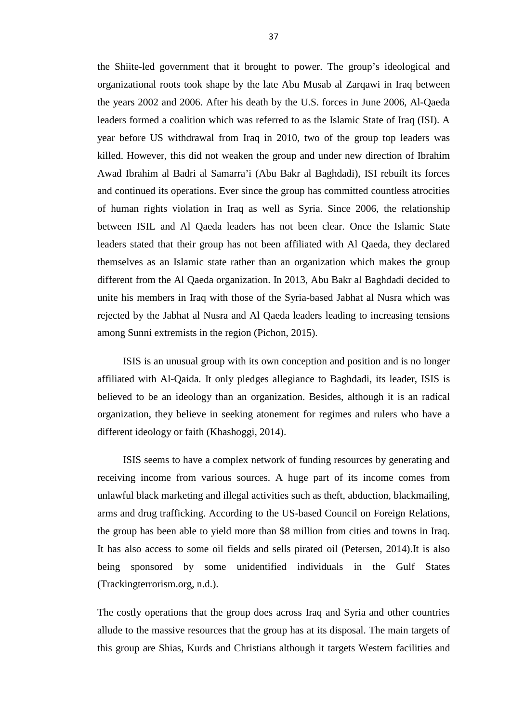the Shiite-led government that it brought to power. The group's ideological and organizational roots took shape by the late Abu Musab al Zarqawi in Iraq between the years 2002 and 2006. After his death by the U.S. forces in June 2006, Al-Qaeda leaders formed a coalition which was referred to as the Islamic State of Iraq (ISI). A year before US withdrawal from Iraq in 2010, two of the group top leaders was killed. However, this did not weaken the group and under new direction of Ibrahim Awad Ibrahim al Badri al Samarra'i (Abu Bakr al Baghdadi), ISI rebuilt its forces and continued its operations. Ever since the group has committed countless atrocities of human rights violation in Iraq as well as Syria. Since 2006, the relationship between ISIL and Al Qaeda leaders has not been clear. Once the Islamic State leaders stated that their group has not been affiliated with Al Qaeda, they declared themselves as an Islamic state rather than an organization which makes the group different from the Al Qaeda organization. In 2013, Abu Bakr al Baghdadi decided to unite his members in Iraq with those of the Syria-based Jabhat al Nusra which was rejected by the Jabhat al Nusra and Al Qaeda leaders leading to increasing tensions among Sunni extremists in the region (Pichon, 2015).

 ISIS is an unusual group with its own conception and position and is no longer affiliated with Al-Qaida. It only pledges allegiance to Baghdadi, its leader, ISIS is believed to be an ideology than an organization. Besides, although it is an radical organization, they believe in seeking atonement for regimes and rulers who have a different ideology or faith (Khashoggi, 2014).

 ISIS seems to have a complex network of funding resources by generating and receiving income from various sources. A huge part of its income comes from unlawful black marketing and illegal activities such as theft, abduction, blackmailing, arms and drug trafficking. According to the US-based Council on Foreign Relations, the group has been able to yield more than \$8 million from cities and towns in Iraq. It has also access to some oil fields and sells pirated oil (Petersen, 2014).It is also being sponsored by some unidentified individuals in the Gulf States (Trackingterrorism.org, n.d.).

The costly operations that the group does across Iraq and Syria and other countries allude to the massive resources that the group has at its disposal. The main targets of this group are Shias, Kurds and Christians although it targets Western facilities and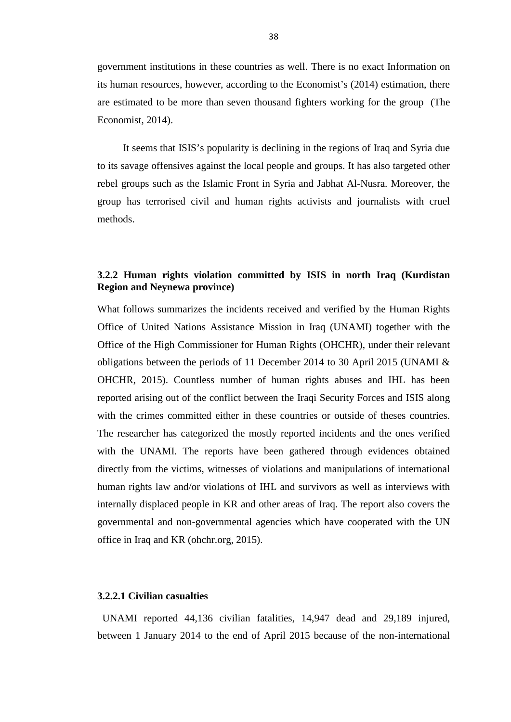government institutions in these countries as well. There is no exact Information on its human resources, however, according to the Economist's (2014) estimation, there are estimated to be more than seven thousand fighters working for the group (The Economist, 2014).

 It seems that ISIS's popularity is declining in the regions of Iraq and Syria due to its savage offensives against the local people and groups. It has also targeted other rebel groups such as the Islamic Front in Syria and Jabhat Al-Nusra. Moreover, the group has terrorised civil and human rights activists and journalists with cruel methods.

# <span id="page-48-0"></span>**3.2.2 Human rights violation committed by ISIS in north Iraq (Kurdistan Region and Neynewa province)**

What follows summarizes the incidents received and verified by the Human Rights Office of United Nations Assistance Mission in Iraq (UNAMI) together with the Office of the High Commissioner for Human Rights (OHCHR), under their relevant obligations between the periods of 11 December 2014 to 30 April 2015 (UNAMI & OHCHR, 2015). Countless number of human rights abuses and IHL has been reported arising out of the conflict between the Iraqi Security Forces and ISIS along with the crimes committed either in these countries or outside of theses countries. The researcher has categorized the mostly reported incidents and the ones verified with the UNAMI. The reports have been gathered through evidences obtained directly from the victims, witnesses of violations and manipulations of international human rights law and/or violations of IHL and survivors as well as interviews with internally displaced people in KR and other areas of Iraq. The report also covers the governmental and non-governmental agencies which have cooperated with the UN office in Iraq and KR (ohchr.org, 2015).

# <span id="page-48-1"></span>**3.2.2.1 Civilian casualties**

 UNAMI reported 44,136 civilian fatalities, 14,947 dead and 29,189 injured, between 1 January 2014 to the end of April 2015 because of the non-international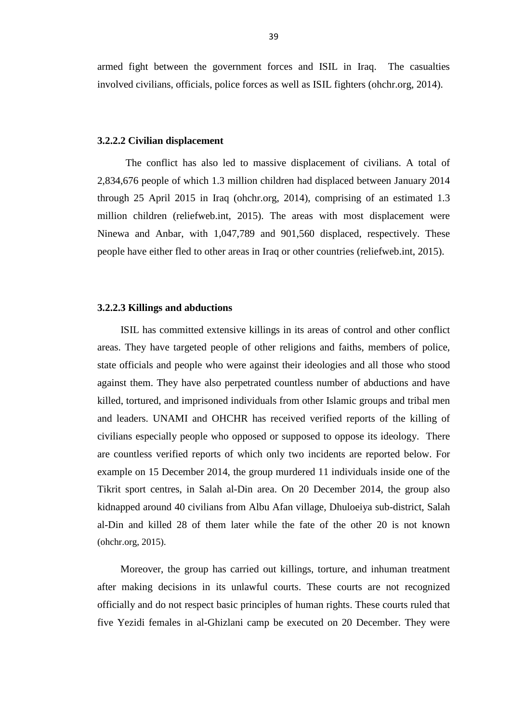armed fight between the government forces and ISIL in Iraq. The casualties involved civilians, officials, police forces as well as ISIL fighters (ohchr.org, 2014).

#### <span id="page-49-0"></span>**3.2.2.2 Civilian displacement**

 The conflict has also led to massive displacement of civilians. A total of 2,834,676 people of which 1.3 million children had displaced between January 2014 through 25 April 2015 in Iraq (ohchr.org, 2014), comprising of an estimated 1.3 million children (reliefweb.int, 2015). The areas with most displacement were Ninewa and Anbar, with 1,047,789 and 901,560 displaced, respectively. These people have either fled to other areas in Iraq or other countries (reliefweb.int, 2015).

#### <span id="page-49-1"></span>**3.2.2.3 Killings and abductions**

 ISIL has committed extensive killings in its areas of control and other conflict areas. They have targeted people of other religions and faiths, members of police, state officials and people who were against their ideologies and all those who stood against them. They have also perpetrated countless number of abductions and have killed, tortured, and imprisoned individuals from other Islamic groups and tribal men and leaders. UNAMI and OHCHR has received verified reports of the killing of civilians especially people who opposed or supposed to oppose its ideology. There are countless verified reports of which only two incidents are reported below. For example on 15 December 2014, the group murdered 11 individuals inside one of the Tikrit sport centres, in Salah al-Din area. On 20 December 2014, the group also kidnapped around 40 civilians from Albu Afan village, Dhuloeiya sub-district, Salah al-Din and killed 28 of them later while the fate of the other 20 is not known (ohchr.org, 2015).

 Moreover, the group has carried out killings, torture, and inhuman treatment after making decisions in its unlawful courts. These courts are not recognized officially and do not respect basic principles of human rights. These courts ruled that five Yezidi females in al-Ghizlani camp be executed on 20 December. They were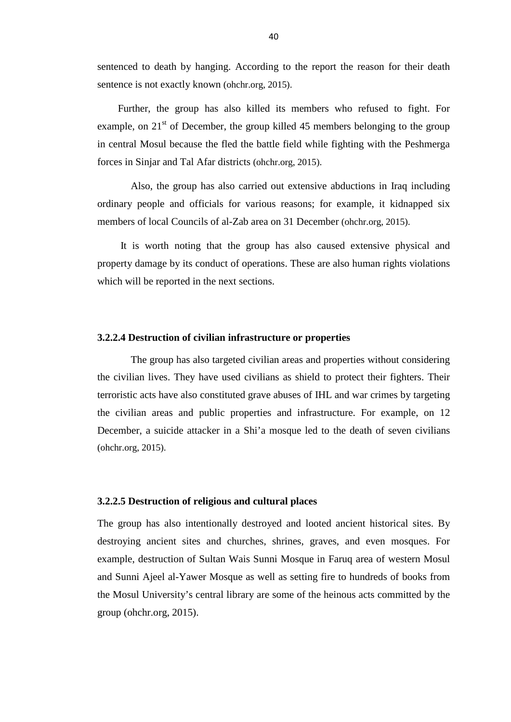sentenced to death by hanging. According to the report the reason for their death sentence is not exactly known (ohchr.org, 2015).

 Further, the group has also killed its members who refused to fight. For example, on  $21<sup>st</sup>$  of December, the group killed 45 members belonging to the group in central Mosul because the fled the battle field while fighting with the Peshmerga forces in Sinjar and Tal Afar districts (ohchr.org, 2015).

 Also, the group has also carried out extensive abductions in Iraq including ordinary people and officials for various reasons; for example, it kidnapped six members of local Councils of al-Zab area on 31 December (ohchr.org, 2015).

 It is worth noting that the group has also caused extensive physical and property damage by its conduct of operations. These are also human rights violations which will be reported in the next sections.

#### <span id="page-50-0"></span>**3.2.2.4 Destruction of civilian infrastructure or properties**

 The group has also targeted civilian areas and properties without considering the civilian lives. They have used civilians as shield to protect their fighters. Their terroristic acts have also constituted grave abuses of IHL and war crimes by targeting the civilian areas and public properties and infrastructure. For example, on 12 December, a suicide attacker in a Shi'a mosque led to the death of seven civilians (ohchr.org, 2015).

# <span id="page-50-1"></span>**3.2.2.5 Destruction of religious and cultural places**

The group has also intentionally destroyed and looted ancient historical sites. By destroying ancient sites and churches, shrines, graves, and even mosques. For example, destruction of Sultan Wais Sunni Mosque in Faruq area of western Mosul and Sunni Ajeel al-Yawer Mosque as well as setting fire to hundreds of books from the Mosul University's central library are some of the heinous acts committed by the group (ohchr.org, 2015).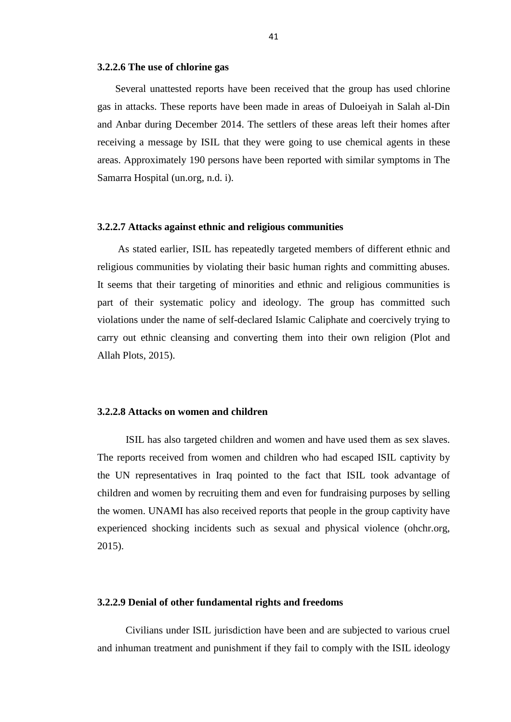#### <span id="page-51-0"></span>**3.2.2.6 The use of chlorine gas**

 Several unattested reports have been received that the group has used chlorine gas in attacks. These reports have been made in areas of Duloeiyah in Salah al-Din and Anbar during December 2014. The settlers of these areas left their homes after receiving a message by ISIL that they were going to use chemical agents in these areas. Approximately 190 persons have been reported with similar symptoms in The Samarra Hospital (un.org, n.d. i).

#### <span id="page-51-1"></span>**3.2.2.7 Attacks against ethnic and religious communities**

 As stated earlier, ISIL has repeatedly targeted members of different ethnic and religious communities by violating their basic human rights and committing abuses. It seems that their targeting of minorities and ethnic and religious communities is part of their systematic policy and ideology. The group has committed such violations under the name of self-declared Islamic Caliphate and coercively trying to carry out ethnic cleansing and converting them into their own religion (Plot and Allah Plots, 2015).

# <span id="page-51-2"></span>**3.2.2.8 Attacks on women and children**

 ISIL has also targeted children and women and have used them as sex slaves. The reports received from women and children who had escaped ISIL captivity by the UN representatives in Iraq pointed to the fact that ISIL took advantage of children and women by recruiting them and even for fundraising purposes by selling the women. UNAMI has also received reports that people in the group captivity have experienced shocking incidents such as sexual and physical violence (ohchr.org, 2015).

#### <span id="page-51-3"></span>**3.2.2.9 Denial of other fundamental rights and freedoms**

 Civilians under ISIL jurisdiction have been and are subjected to various cruel and inhuman treatment and punishment if they fail to comply with the ISIL ideology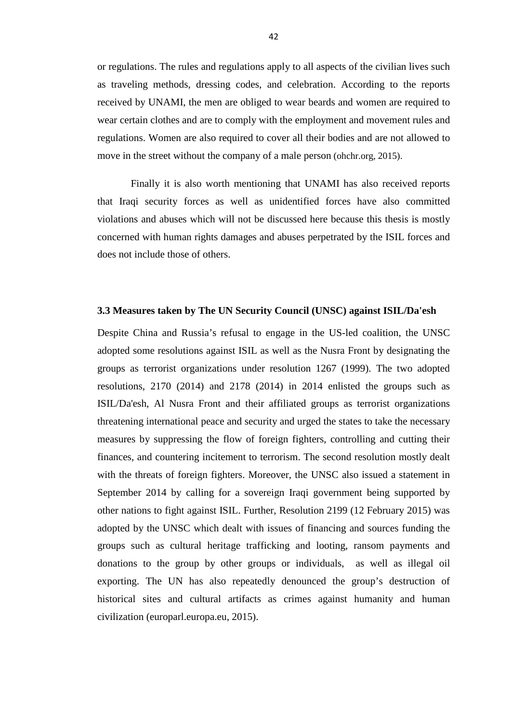or regulations. The rules and regulations apply to all aspects of the civilian lives such as traveling methods, dressing codes, and celebration. According to the reports received by UNAMI, the men are obliged to wear beards and women are required to wear certain clothes and are to comply with the employment and movement rules and regulations. Women are also required to cover all their bodies and are not allowed to move in the street without the company of a male person (ohchr.org, 2015).

 Finally it is also worth mentioning that UNAMI has also received reports that Iraqi security forces as well as unidentified forces have also committed violations and abuses which will not be discussed here because this thesis is mostly concerned with human rights damages and abuses perpetrated by the ISIL forces and does not include those of others.

#### <span id="page-52-0"></span>**3.3 Measures taken by The UN Security Council (UNSC) against ISIL/Da'esh**

Despite China and Russia's refusal to engage in the US-led coalition, the UNSC adopted some resolutions against ISIL as well as the Nusra Front by designating the groups as terrorist organizations under resolution 1267 (1999). The two adopted resolutions, 2170 (2014) and 2178 (2014) in 2014 enlisted the groups such as ISIL/Da'esh, Al Nusra Front and their affiliated groups as terrorist organizations threatening international peace and security and urged the states to take the necessary measures by suppressing the flow of foreign fighters, controlling and cutting their finances, and countering incitement to terrorism. The second resolution mostly dealt with the threats of foreign fighters. Moreover, the UNSC also issued a statement in September 2014 by calling for a sovereign Iraqi government being supported by other nations to fight against ISIL. Further, Resolution 2199 (12 February 2015) was adopted by the UNSC which dealt with issues of financing and sources funding the groups such as cultural heritage trafficking and looting, ransom payments and donations to the group by other groups or individuals, as well as illegal oil exporting. The UN has also repeatedly denounced the group's destruction of historical sites and cultural artifacts as crimes against humanity and human civilization (europarl.europa.eu, 2015).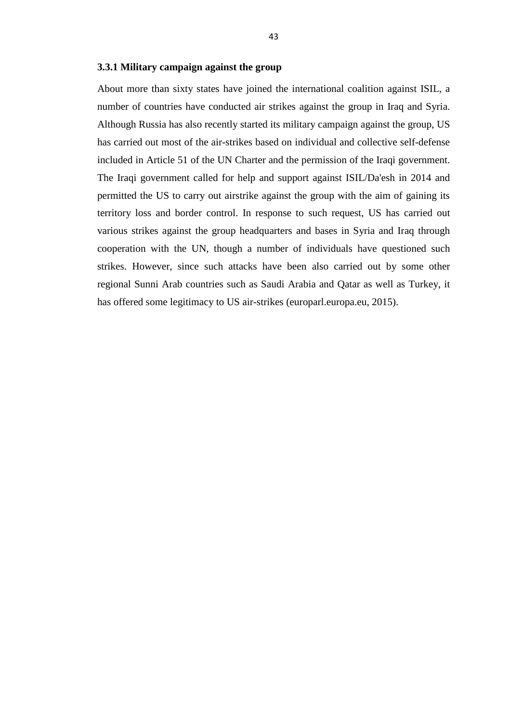#### <span id="page-53-0"></span>**3.3.1 Military campaign against the group**

About more than sixty states have joined the international coalition against ISIL, a number of countries have conducted air strikes against the group in Iraq and Syria. Although Russia has also recently started its military campaign against the group, US has carried out most of the air-strikes based on individual and collective self-defense included in Article 51 of the UN Charter and the permission of the Iraqi government. The Iraqi government called for help and support against ISIL/Da'esh in 2014 and permitted the US to carry out airstrike against the group with the aim of gaining its territory loss and border control. In response to such request, US has carried out various strikes against the group headquarters and bases in Syria and Iraq through cooperation with the UN, though a number of individuals have questioned such strikes. However, since such attacks have been also carried out by some other regional Sunni Arab countries such as Saudi Arabia and Qatar as well as Turkey, it has offered some legitimacy to US air-strikes (europarl.europa.eu, 2015).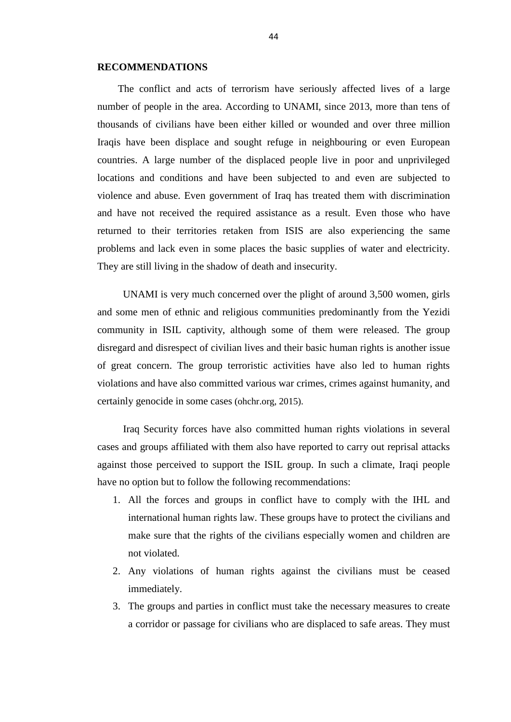#### <span id="page-54-0"></span>**RECOMMENDATIONS**

 The conflict and acts of terrorism have seriously affected lives of a large number of people in the area. According to UNAMI, since 2013, more than tens of thousands of civilians have been either killed or wounded and over three million Iraqis have been displace and sought refuge in neighbouring or even European countries. A large number of the displaced people live in poor and unprivileged locations and conditions and have been subjected to and even are subjected to violence and abuse. Even government of Iraq has treated them with discrimination and have not received the required assistance as a result. Even those who have returned to their territories retaken from ISIS are also experiencing the same problems and lack even in some places the basic supplies of water and electricity. They are still living in the shadow of death and insecurity.

 UNAMI is very much concerned over the plight of around 3,500 women, girls and some men of ethnic and religious communities predominantly from the Yezidi community in ISIL captivity, although some of them were released. The group disregard and disrespect of civilian lives and their basic human rights is another issue of great concern. The group terroristic activities have also led to human rights violations and have also committed various war crimes, crimes against humanity, and certainly genocide in some cases (ohchr.org, 2015).

 Iraq Security forces have also committed human rights violations in several cases and groups affiliated with them also have reported to carry out reprisal attacks against those perceived to support the ISIL group. In such a climate, Iraqi people have no option but to follow the following recommendations:

- 1. All the forces and groups in conflict have to comply with the IHL and international human rights law. These groups have to protect the civilians and make sure that the rights of the civilians especially women and children are not violated.
- 2. Any violations of human rights against the civilians must be ceased immediately.
- 3. The groups and parties in conflict must take the necessary measures to create a corridor or passage for civilians who are displaced to safe areas. They must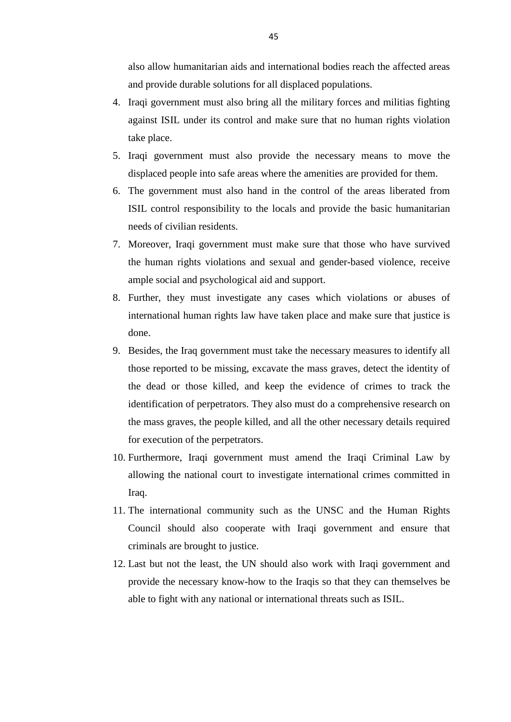also allow humanitarian aids and international bodies reach the affected areas and provide durable solutions for all displaced populations.

- 4. Iraqi government must also bring all the military forces and militias fighting against ISIL under its control and make sure that no human rights violation take place.
- 5. Iraqi government must also provide the necessary means to move the displaced people into safe areas where the amenities are provided for them.
- 6. The government must also hand in the control of the areas liberated from ISIL control responsibility to the locals and provide the basic humanitarian needs of civilian residents.
- 7. Moreover, Iraqi government must make sure that those who have survived the human rights violations and sexual and gender-based violence, receive ample social and psychological aid and support.
- 8. Further, they must investigate any cases which violations or abuses of international human rights law have taken place and make sure that justice is done.
- 9. Besides, the Iraq government must take the necessary measures to identify all those reported to be missing, excavate the mass graves, detect the identity of the dead or those killed, and keep the evidence of crimes to track the identification of perpetrators. They also must do a comprehensive research on the mass graves, the people killed, and all the other necessary details required for execution of the perpetrators.
- 10. Furthermore, Iraqi government must amend the Iraqi Criminal Law by allowing the national court to investigate international crimes committed in Iraq.
- 11. The international community such as the UNSC and the Human Rights Council should also cooperate with Iraqi government and ensure that criminals are brought to justice.
- 12. Last but not the least, the UN should also work with Iraqi government and provide the necessary know-how to the Iraqis so that they can themselves be able to fight with any national or international threats such as ISIL.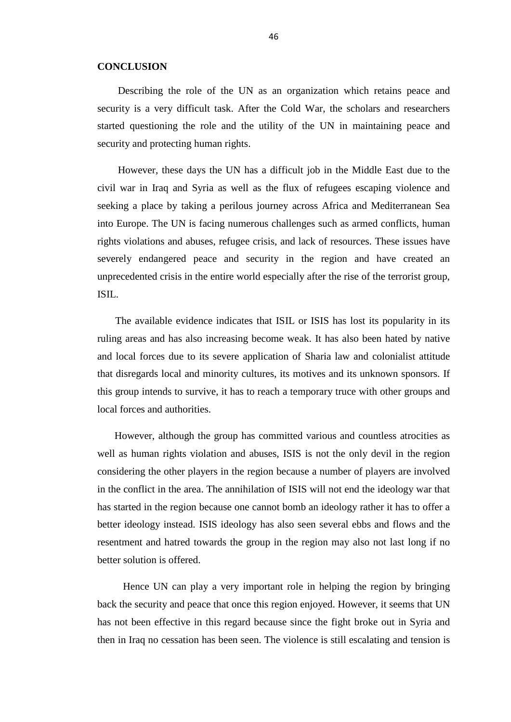#### <span id="page-56-0"></span>**CONCLUSION**

 Describing the role of the UN as an organization which retains peace and security is a very difficult task. After the Cold War, the scholars and researchers started questioning the role and the utility of the UN in maintaining peace and security and protecting human rights.

 However, these days the UN has a difficult job in the Middle East due to the civil war in Iraq and Syria as well as the flux of refugees escaping violence and seeking a place by taking a perilous journey across Africa and Mediterranean Sea into Europe. The UN is facing numerous challenges such as armed conflicts, human rights violations and abuses, refugee crisis, and lack of resources. These issues have severely endangered peace and security in the region and have created an unprecedented crisis in the entire world especially after the rise of the terrorist group, ISIL.

 The available evidence indicates that ISIL or ISIS has lost its popularity in its ruling areas and has also increasing become weak. It has also been hated by native and local forces due to its severe application of Sharia law and colonialist attitude that disregards local and minority cultures, its motives and its unknown sponsors. If this group intends to survive, it has to reach a temporary truce with other groups and local forces and authorities.

 However, although the group has committed various and countless atrocities as well as human rights violation and abuses, ISIS is not the only devil in the region considering the other players in the region because a number of players are involved in the conflict in the area. The annihilation of ISIS will not end the ideology war that has started in the region because one cannot bomb an ideology rather it has to offer a better ideology instead. ISIS ideology has also seen several ebbs and flows and the resentment and hatred towards the group in the region may also not last long if no better solution is offered.

 Hence UN can play a very important role in helping the region by bringing back the security and peace that once this region enjoyed. However, it seems that UN has not been effective in this regard because since the fight broke out in Syria and then in Iraq no cessation has been seen. The violence is still escalating and tension is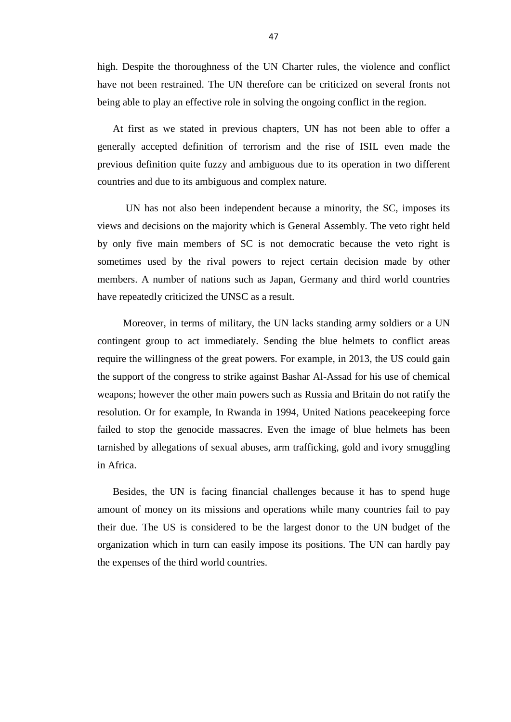high. Despite the thoroughness of the UN Charter rules, the violence and conflict have not been restrained. The UN therefore can be criticized on several fronts not being able to play an effective role in solving the ongoing conflict in the region.

 At first as we stated in previous chapters, UN has not been able to offer a generally accepted definition of terrorism and the rise of ISIL even made the previous definition quite fuzzy and ambiguous due to its operation in two different countries and due to its ambiguous and complex nature.

 UN has not also been independent because a minority, the SC, imposes its views and decisions on the majority which is General Assembly. The veto right held by only five main members of SC is not democratic because the veto right is sometimes used by the rival powers to reject certain decision made by other members. A number of nations such as Japan, Germany and third world countries have repeatedly criticized the UNSC as a result.

 Moreover, in terms of military, the UN lacks standing army soldiers or a UN contingent group to act immediately. Sending the blue helmets to conflict areas require the willingness of the great powers. For example, in 2013, the US could gain the support of the congress to strike against Bashar Al-Assad for his use of chemical weapons; however the other main powers such as Russia and Britain do not ratify the resolution. Or for example, In Rwanda in 1994, United Nations peacekeeping force failed to stop the genocide massacres. Even the image of blue helmets has been tarnished by allegations of sexual abuses, arm trafficking, gold and ivory smuggling in Africa.

 Besides, the UN is facing financial challenges because it has to spend huge amount of money on its missions and operations while many countries fail to pay their due. The US is considered to be the largest donor to the UN budget of the organization which in turn can easily impose its positions. The UN can hardly pay the expenses of the third world countries.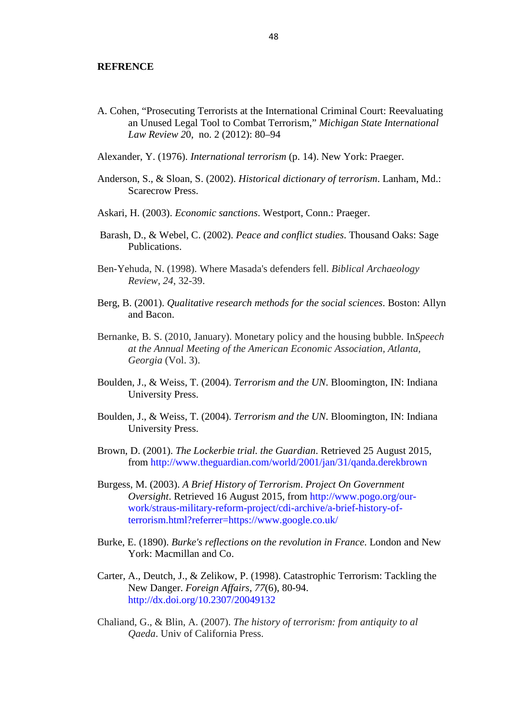#### <span id="page-58-0"></span>**REFRENCE**

A. Cohen, "Prosecuting Terrorists at the International Criminal Court: Reevaluating an Unused Legal Tool to Combat Terrorism," *Michigan State International Law Review 2*0, no. 2 (2012): 80–94

Alexander, Y. (1976). *International terrorism* (p. 14). New York: Praeger.

- Anderson, S., & Sloan, S. (2002). *Historical dictionary of terrorism*. Lanham, Md.: Scarecrow Press.
- Askari, H. (2003). *Economic sanctions*. Westport, Conn.: Praeger.
- Barash, D., & Webel, C. (2002). *Peace and conflict studies*. Thousand Oaks: Sage Publications.
- Ben-Yehuda, N. (1998). Where Masada's defenders fell. *Biblical Archaeology Review*, *24*, 32-39.
- Berg, B. (2001). *Qualitative research methods for the social sciences*. Boston: Allyn and Bacon.
- Bernanke, B. S. (2010, January). Monetary policy and the housing bubble. In*Speech at the Annual Meeting of the American Economic Association, Atlanta, Georgia* (Vol. 3).
- Boulden, J., & Weiss, T. (2004). *Terrorism and the UN*. Bloomington, IN: Indiana University Press.
- Boulden, J., & Weiss, T. (2004). *Terrorism and the UN*. Bloomington, IN: Indiana University Press.
- Brown, D. (2001). *The Lockerbie trial. the Guardian*. Retrieved 25 August 2015, from <http://www.theguardian.com/world/2001/jan/31/qanda.derekbrown>
- Burgess, M. (2003). *A Brief History of Terrorism*. *Project On Government Oversight*. Retrieved 16 August 2015, from http://www.pogo.org/ourwork/straus-military-reform-project/cdi-archive/a-brief-history-ofterrorism.html?referrer=https://www.google.co.uk/
- Burke, E. (1890). *Burke's reflections on the revolution in France*. London and New York: Macmillan and Co.
- Carter, A., Deutch, J., & Zelikow, P. (1998). Catastrophic Terrorism: Tackling the New Danger. *Foreign Affairs*, *77*(6), 80-94. <http://dx.doi.org/10.2307/20049132>
- Chaliand, G., & Blin, A. (2007). *The history of terrorism: from antiquity to al Qaeda*. Univ of California Press.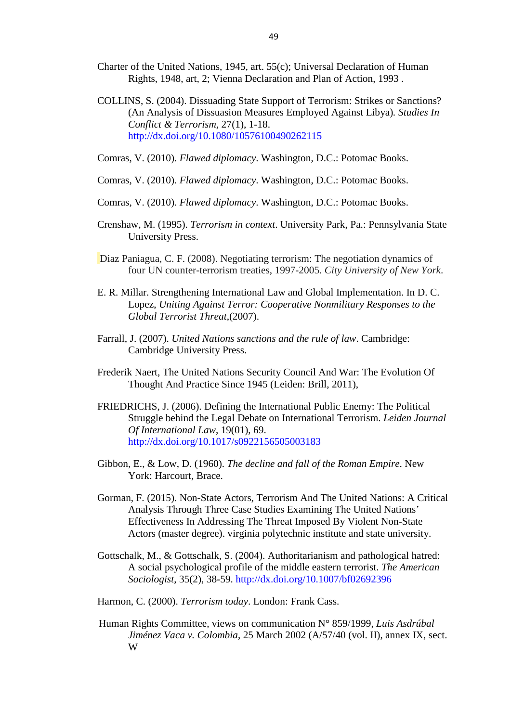- Charter of the United Nations, 1945, art. 55(c); Universal Declaration of Human Rights, 1948, art, 2; Vienna Declaration and Plan of Action, 1993 .
- COLLINS, S. (2004). Dissuading State Support of Terrorism: Strikes or Sanctions? (An Analysis of Dissuasion Measures Employed Against Libya)*. Studies In Conflict & Terrorism*, 27(1), 1-18. <http://dx.doi.org/10.1080/10576100490262115>
- Comras, V. (2010). *Flawed diplomacy*. Washington, D.C.: Potomac Books.
- Comras, V. (2010). *Flawed diplomacy*. Washington, D.C.: Potomac Books.
- Comras, V. (2010). *Flawed diplomacy*. Washington, D.C.: Potomac Books.
- Crenshaw, M. (1995). *Terrorism in context*. University Park, Pa.: Pennsylvania State University Press.
- Diaz Paniagua, C. F. (2008). Negotiating terrorism: The negotiation dynamics of four UN counter-terrorism treaties, 1997-2005. *City University of New York*.
- E. R. Millar. Strengthening International Law and Global Implementation. In D. C. Lopez, *Uniting Against Terror: Cooperative Nonmilitary Responses to the Global Terrorist Threat*,(2007).
- Farrall, J. (2007). *United Nations sanctions and the rule of law*. Cambridge: Cambridge University Press.
- Frederik Naert, The United Nations Security Council And War: The Evolution Of Thought And Practice Since 1945 (Leiden: Brill, 2011),
- FRIEDRICHS, J. (2006). Defining the International Public Enemy: The Political Struggle behind the Legal Debate on International Terrorism. *Leiden Journal Of International Law*, 19(01), 69. <http://dx.doi.org/10.1017/s0922156505003183>
- Gibbon, E., & Low, D. (1960). *The decline and fall of the Roman Empire*. New York: Harcourt, Brace.
- Gorman, F. (2015). Non-State Actors, Terrorism And The United Nations: A Critical Analysis Through Three Case Studies Examining The United Nations' Effectiveness In Addressing The Threat Imposed By Violent Non-State Actors (master degree). virginia polytechnic institute and state university.
- Gottschalk, M., & Gottschalk, S. (2004). Authoritarianism and pathological hatred: A social psychological profile of the middle eastern terrorist. *The American Sociologist*, 35(2), 38-59.<http://dx.doi.org/10.1007/bf02692396>
- Harmon, C. (2000). *Terrorism today*. London: Frank Cass.
- Human Rights Committee, views on communication N° 859/1999, *Luis Asdrúbal Jiménez Vaca v. Colombia*, 25 March 2002 (A/57/40 (vol. II), annex IX, sect. W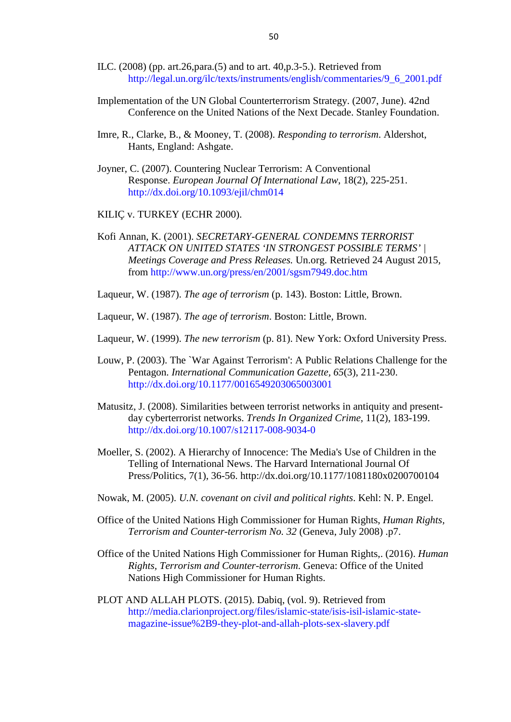- ILC. (2008) (pp. art.26,para.(5) and to art. 40,p.3-5.). Retrieved from [http://legal.un.org/ilc/texts/instruments/english/commentaries/9\\_6\\_2001.pdf](http://legal.un.org/ilc/texts/instruments/english/commentaries/9_6_2001.pdf)
- Implementation of the UN Global Counterterrorism Strategy. (2007, June). 42nd Conference on the United Nations of the Next Decade. Stanley Foundation.
- Imre, R., Clarke, B., & Mooney, T. (2008). *Responding to terrorism*. Aldershot, Hants, England: Ashgate.
- Joyner, C. (2007). Countering Nuclear Terrorism: A Conventional Response. *European Journal Of International Law*, 18(2), 225-251. <http://dx.doi.org/10.1093/ejil/chm014>
- KILIÇ v. TURKEY (ECHR 2000).
- Kofi Annan, K. (2001). *SECRETARY-GENERAL CONDEMNS TERRORIST ATTACK ON UNITED STATES 'IN STRONGEST POSSIBLE TERMS' | Meetings Coverage and Press Releases.* Un.org. Retrieved 24 August 2015*,* from <http://www.un.org/press/en/2001/sgsm7949.doc.htm>
- Laqueur, W. (1987). *The age of terrorism* (p. 143). Boston: Little, Brown.

Laqueur, W. (1987). *The age of terrorism*. Boston: Little, Brown.

- Laqueur, W. (1999). *The new terrorism* (p. 81). New York: Oxford University Press.
- Louw, P. (2003). The `War Against Terrorism': A Public Relations Challenge for the Pentagon. *International Communication Gazette, 65*(3), 211-230. <http://dx.doi.org/10.1177/0016549203065003001>
- Matusitz, J. (2008). Similarities between terrorist networks in antiquity and presentday cyberterrorist networks. *Trends In Organized Crime*, 11(2), 183-199. <http://dx.doi.org/10.1007/s12117-008-9034-0>
- Moeller, S. (2002). A Hierarchy of Innocence: The Media's Use of Children in the Telling of International News. The Harvard International Journal Of Press/Politics, 7(1), 36-56. http://dx.doi.org/10.1177/1081180x0200700104
- Nowak, M. (2005). *U.N. covenant on civil and political rights*. Kehl: N. P. Engel.
- Office of the United Nations High Commissioner for Human Rights, *Human Rights, Terrorism and Counter-terrorism No. 32* (Geneva, July 2008) .p7.
- Office of the United Nations High Commissioner for Human Rights,. (2016). *Human Rights, Terrorism and Counter-terrorism*. Geneva: Office of the United Nations High Commissioner for Human Rights.
- PLOT AND ALLAH PLOTS. (2015). Dabiq, (vol. 9). Retrieved from [http://media.clarionproject.org/files/islamic-state/isis-isil-islamic-state](http://media.clarionproject.org/files/islamic-state/isis-isil-islamic-state-magazine-issue%2B9-they-plot-and-allah-plots-sex-slavery.pdf)[magazine-issue%2B9-they-plot-and-allah-plots-sex-slavery.pdf](http://media.clarionproject.org/files/islamic-state/isis-isil-islamic-state-magazine-issue%2B9-they-plot-and-allah-plots-sex-slavery.pdf)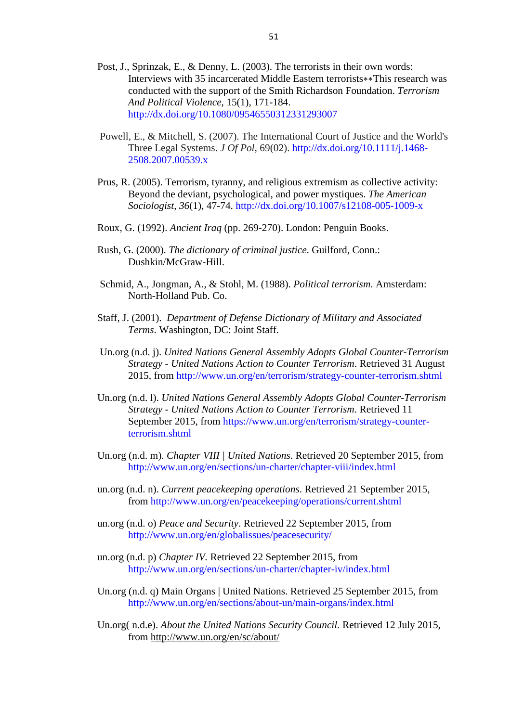- Post, J., Sprinzak, E., & Denny, L. (2003). The terrorists in their own words: Interviews with 35 incarcerated Middle Eastern terrorists∗∗This research was conducted with the support of the Smith Richardson Foundation. *Terrorism And Political Violence*, 15(1), 171-184. <http://dx.doi.org/10.1080/09546550312331293007>
- Powell, E., & Mitchell, S. (2007). The International Court of Justice and the World's Three Legal Systems. *J Of Pol*, 69(02). [http://dx.doi.org/10.1111/j.1468-](http://dx.doi.org/10.1111/j.1468-2508.2007.00539.x) [2508.2007.00539.x](http://dx.doi.org/10.1111/j.1468-2508.2007.00539.x)
- Prus, R. (2005). Terrorism, tyranny, and religious extremism as collective activity: Beyond the deviant, psychological, and power mystiques. *The American Sociologist*, *36*(1), 47-74.<http://dx.doi.org/10.1007/s12108-005-1009-x>
- Roux, G. (1992). *Ancient Iraq* (pp. 269-270). London: Penguin Books.
- Rush, G. (2000). *The dictionary of criminal justice*. Guilford, Conn.: Dushkin/McGraw-Hill.
- Schmid, A., Jongman, A., & Stohl, M. (1988). *Political terrorism*. Amsterdam: North-Holland Pub. Co.
- Staff, J. (2001). *Department of Defense Dictionary of Military and Associated Terms*. Washington, DC: Joint Staff.
- Un.org (n.d. j). *United Nations General Assembly Adopts Global Counter-Terrorism Strategy - United Nations Action to Counter Terrorism*. Retrieved 31 August 2015, from<http://www.un.org/en/terrorism/strategy-counter-terrorism.shtml>
- Un.org (n.d. l). *United Nations General Assembly Adopts Global Counter-Terrorism Strategy - United Nations Action to Counter Terrorism*. Retrieved 11 September 2015, from [https://www.un.org/en/terrorism/strategy-counter](https://www.un.org/en/terrorism/strategy-counter-terrorism.shtml)[terrorism.shtml](https://www.un.org/en/terrorism/strategy-counter-terrorism.shtml)
- Un.org (n.d. m). *Chapter VIII | United Nations*. Retrieved 20 September 2015, from <http://www.un.org/en/sections/un-charter/chapter-viii/index.html>
- un.org (n.d. n). *Current peacekeeping operations*. Retrieved 21 September 2015, from<http://www.un.org/en/peacekeeping/operations/current.shtml>
- un.org (n.d. o) *Peace and Security*. Retrieved 22 September 2015, from <http://www.un.org/en/globalissues/peacesecurity/>
- un.org (n.d. p) *Chapter IV.* Retrieved 22 September 2015, from <http://www.un.org/en/sections/un-charter/chapter-iv/index.html>
- Un.org (n.d. q) Main Organs | United Nations. Retrieved 25 September 2015, from <http://www.un.org/en/sections/about-un/main-organs/index.html>
- Un.org( n.d.e). *About the United Nations Security Council.* Retrieved 12 July 2015, from<http://www.un.org/en/sc/about/>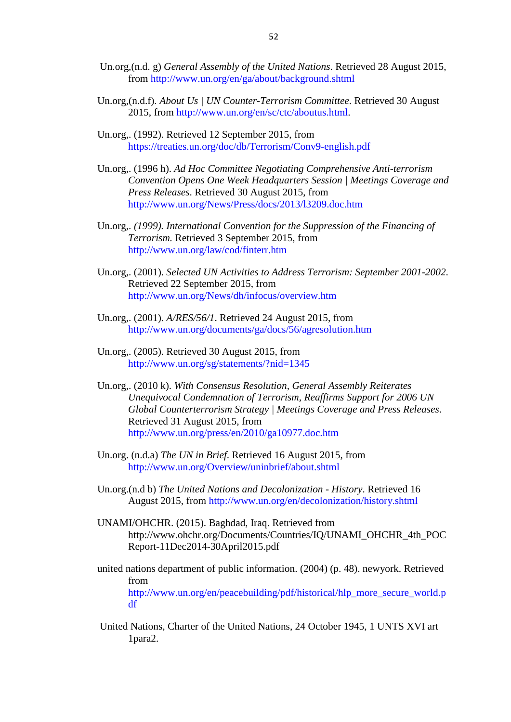- Un.org,(n.d. g) *General Assembly of the United Nations*. Retrieved 28 August 2015, from<http://www.un.org/en/ga/about/background.shtml>
- Un.org,(n.d.f). *About Us | UN Counter-Terrorism Committee*. Retrieved 30 August 2015, from [http://www.un.org/en/sc/ctc/aboutus.html.](http://www.un.org/en/sc/ctc/aboutus.html)
- Un.org,. (1992). Retrieved 12 September 2015, from <https://treaties.un.org/doc/db/Terrorism/Conv9-english.pdf>
- Un.org,. (1996 h). *Ad Hoc Committee Negotiating Comprehensive Anti-terrorism Convention Opens One Week Headquarters Session | Meetings Coverage and Press Releases*. Retrieved 30 August 2015, from <http://www.un.org/News/Press/docs/2013/l3209.doc.htm>
- Un.org,. *(1999). International Convention for the Suppression of the Financing of Terrorism.* Retrieved 3 September 2015, from <http://www.un.org/law/cod/finterr.htm>
- Un.org,. (2001). *Selected UN Activities to Address Terrorism: September 2001-2002*. Retrieved 22 September 2015, from <http://www.un.org/News/dh/infocus/overview.htm>
- Un.org,. (2001). *A/RES/56/1*. Retrieved 24 August 2015, from <http://www.un.org/documents/ga/docs/56/agresolution.htm>
- Un.org,. (2005). Retrieved 30 August 2015, from <http://www.un.org/sg/statements/?nid=1345>
- Un.org,. (2010 k). *With Consensus Resolution, General Assembly Reiterates Unequivocal Condemnation of Terrorism, Reaffirms Support for 2006 UN Global Counterterrorism Strategy | Meetings Coverage and Press Releases*. Retrieved 31 August 2015, from <http://www.un.org/press/en/2010/ga10977.doc.htm>
- Un.org. (n.d.a) *The UN in Brief*. Retrieved 16 August 2015, from <http://www.un.org/Overview/uninbrief/about.shtml>
- Un.org.(n.d b) *The United Nations and Decolonization - History*. Retrieved 16 August 2015, from<http://www.un.org/en/decolonization/history.shtml>
- UNAMI/OHCHR. (2015). Baghdad, Iraq. Retrieved from [http://www.ohchr.org/Documents/Countries/IQ/UNAMI\\_OHCHR\\_4th\\_POC](http://www.ohchr.org/Documents/Countries/IQ/UNAMI_OHCHR_4th_POCReport-11Dec2014-30April2015.pdf) [Report-11Dec2014-30April2015.pdf](http://www.ohchr.org/Documents/Countries/IQ/UNAMI_OHCHR_4th_POCReport-11Dec2014-30April2015.pdf)
- united nations department of public information. (2004) (p. 48). newyork. Retrieved from [http://www.un.org/en/peacebuilding/pdf/historical/hlp\\_more\\_secure\\_world.p](http://www.un.org/en/peacebuilding/pdf/historical/hlp_more_secure_world.pdf) [df](http://www.un.org/en/peacebuilding/pdf/historical/hlp_more_secure_world.pdf)
- United Nations, Charter of the United Nations, 24 October 1945, 1 UNTS XVI art 1para2.